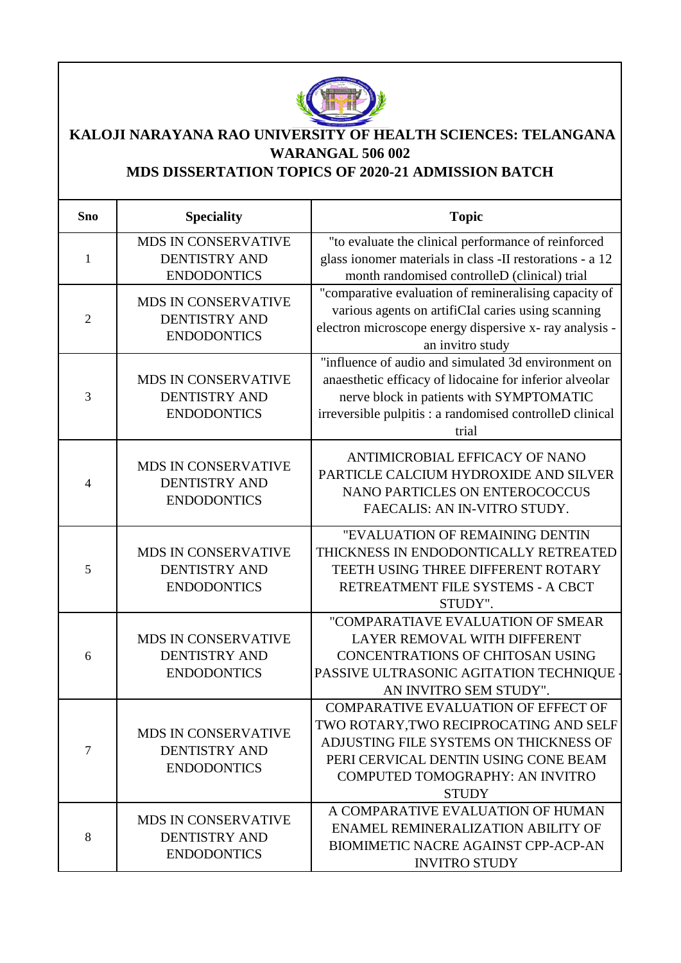

## **KALOJI NARAYANA RAO UNIVERSITY OF HEALTH SCIENCES: TELANGANA WARANGAL 506 002**

## **MDS DISSERTATION TOPICS OF 2020-21 ADMISSION BATCH**

| <b>Sno</b>     | <b>Speciality</b>                                                        | <b>Topic</b>                                                                                                                                                                                                                    |
|----------------|--------------------------------------------------------------------------|---------------------------------------------------------------------------------------------------------------------------------------------------------------------------------------------------------------------------------|
| 1              | <b>MDS IN CONSERVATIVE</b><br><b>DENTISTRY AND</b><br><b>ENDODONTICS</b> | "to evaluate the clinical performance of reinforced<br>glass ionomer materials in class -II restorations - a 12<br>month randomised controlleD (clinical) trial                                                                 |
| $\overline{2}$ | <b>MDS IN CONSERVATIVE</b><br><b>DENTISTRY AND</b><br><b>ENDODONTICS</b> | "comparative evaluation of remineralising capacity of<br>various agents on artifiCIal caries using scanning<br>electron microscope energy dispersive x-ray analysis -<br>an invitro study                                       |
| 3              | MDS IN CONSERVATIVE<br><b>DENTISTRY AND</b><br><b>ENDODONTICS</b>        | "influence of audio and simulated 3d environment on<br>anaesthetic efficacy of lidocaine for inferior alveolar<br>nerve block in patients with SYMPTOMATIC<br>irreversible pulpitis : a randomised controlleD clinical<br>trial |
| 4              | <b>MDS IN CONSERVATIVE</b><br><b>DENTISTRY AND</b><br><b>ENDODONTICS</b> | ANTIMICROBIAL EFFICACY OF NANO<br>PARTICLE CALCIUM HYDROXIDE AND SILVER<br>NANO PARTICLES ON ENTEROCOCCUS<br>FAECALIS: AN IN-VITRO STUDY.                                                                                       |
| 5              | <b>MDS IN CONSERVATIVE</b><br><b>DENTISTRY AND</b><br><b>ENDODONTICS</b> | "EVALUATION OF REMAINING DENTIN<br>THICKNESS IN ENDODONTICALLY RETREATED<br>TEETH USING THREE DIFFERENT ROTARY<br>RETREATMENT FILE SYSTEMS - A CBCT<br>STUDY".                                                                  |
| 6              | MDS IN CONSERVATIVE<br><b>DENTISTRY AND</b><br><b>ENDODONTICS</b>        | "COMPARATIAVE EVALUATION OF SMEAR<br>LAYER REMOVAL WITH DIFFERENT<br>CONCENTRATIONS OF CHITOSAN USING<br>PASSIVE ULTRASONIC AGITATION TECHNIQUE<br>AN INVITRO SEM STUDY".                                                       |
| $\tau$         | <b>MDS IN CONSERVATIVE</b><br><b>DENTISTRY AND</b><br><b>ENDODONTICS</b> | COMPARATIVE EVALUATION OF EFFECT OF<br>TWO ROTARY, TWO RECIPROCATING AND SELF<br>ADJUSTING FILE SYSTEMS ON THICKNESS OF<br>PERI CERVICAL DENTIN USING CONE BEAM<br>COMPUTED TOMOGRAPHY: AN INVITRO<br><b>STUDY</b>              |
| 8              | <b>MDS IN CONSERVATIVE</b><br><b>DENTISTRY AND</b><br><b>ENDODONTICS</b> | A COMPARATIVE EVALUATION OF HUMAN<br>ENAMEL REMINERALIZATION ABILITY OF<br><b>BIOMIMETIC NACRE AGAINST CPP-ACP-AN</b><br><b>INVITRO STUDY</b>                                                                                   |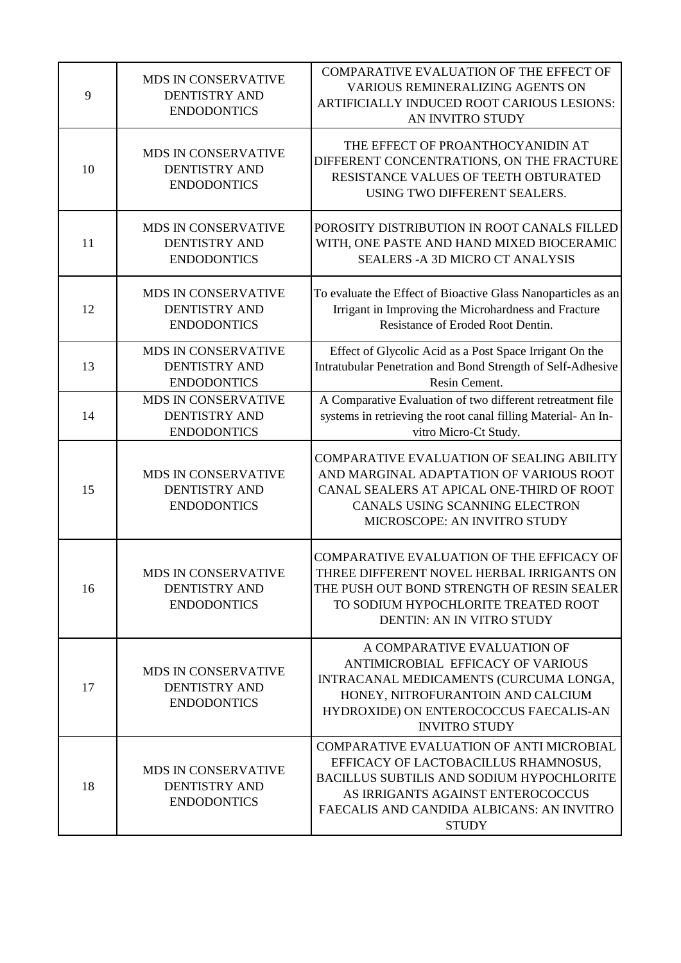| 9  | MDS IN CONSERVATIVE<br><b>DENTISTRY AND</b><br><b>ENDODONTICS</b>        | COMPARATIVE EVALUATION OF THE EFFECT OF<br>VARIOUS REMINERALIZING AGENTS ON<br>ARTIFICIALLY INDUCED ROOT CARIOUS LESIONS:<br>AN INVITRO STUDY                                                                                                 |
|----|--------------------------------------------------------------------------|-----------------------------------------------------------------------------------------------------------------------------------------------------------------------------------------------------------------------------------------------|
| 10 | MDS IN CONSERVATIVE<br><b>DENTISTRY AND</b><br><b>ENDODONTICS</b>        | THE EFFECT OF PROANTHOCYANIDIN AT<br>DIFFERENT CONCENTRATIONS, ON THE FRACTURE<br>RESISTANCE VALUES OF TEETH OBTURATED<br>USING TWO DIFFERENT SEALERS.                                                                                        |
| 11 | <b>MDS IN CONSERVATIVE</b><br><b>DENTISTRY AND</b><br><b>ENDODONTICS</b> | POROSITY DISTRIBUTION IN ROOT CANALS FILLED<br>WITH, ONE PASTE AND HAND MIXED BIOCERAMIC<br><b>SEALERS - A 3D MICRO CT ANALYSIS</b>                                                                                                           |
| 12 | MDS IN CONSERVATIVE<br><b>DENTISTRY AND</b><br><b>ENDODONTICS</b>        | To evaluate the Effect of Bioactive Glass Nanoparticles as an<br>Irrigant in Improving the Microhardness and Fracture<br>Resistance of Eroded Root Dentin.                                                                                    |
| 13 | MDS IN CONSERVATIVE<br><b>DENTISTRY AND</b><br><b>ENDODONTICS</b>        | Effect of Glycolic Acid as a Post Space Irrigant On the<br>Intratubular Penetration and Bond Strength of Self-Adhesive<br>Resin Cement.                                                                                                       |
| 14 | MDS IN CONSERVATIVE<br><b>DENTISTRY AND</b><br><b>ENDODONTICS</b>        | A Comparative Evaluation of two different retreatment file<br>systems in retrieving the root canal filling Material-An In-<br>vitro Micro-Ct Study.                                                                                           |
| 15 | MDS IN CONSERVATIVE<br><b>DENTISTRY AND</b><br><b>ENDODONTICS</b>        | COMPARATIVE EVALUATION OF SEALING ABILITY<br>AND MARGINAL ADAPTATION OF VARIOUS ROOT<br>CANAL SEALERS AT APICAL ONE-THIRD OF ROOT<br>CANALS USING SCANNING ELECTRON<br>MICROSCOPE: AN INVITRO STUDY                                           |
| 16 | <b>MDS IN CONSERVATIVE</b><br><b>DENTISTRY AND</b><br><b>ENDODONTICS</b> | COMPARATIVE EVALUATION OF THE EFFICACY OF<br>THREE DIFFERENT NOVEL HERBAL IRRIGANTS ON<br>THE PUSH OUT BOND STRENGTH OF RESIN SEALER<br>TO SODIUM HYPOCHLORITE TREATED ROOT<br>DENTIN: AN IN VITRO STUDY                                      |
| 17 | <b>MDS IN CONSERVATIVE</b><br><b>DENTISTRY AND</b><br><b>ENDODONTICS</b> | A COMPARATIVE EVALUATION OF<br>ANTIMICROBIAL EFFICACY OF VARIOUS<br>INTRACANAL MEDICAMENTS (CURCUMA LONGA,<br>HONEY, NITROFURANTOIN AND CALCIUM<br>HYDROXIDE) ON ENTEROCOCCUS FAECALIS-AN<br><b>INVITRO STUDY</b>                             |
| 18 | MDS IN CONSERVATIVE<br><b>DENTISTRY AND</b><br><b>ENDODONTICS</b>        | <b>COMPARATIVE EVALUATION OF ANTI MICROBIAL</b><br>EFFICACY OF LACTOBACILLUS RHAMNOSUS,<br><b>BACILLUS SUBTILIS AND SODIUM HYPOCHLORITE</b><br>AS IRRIGANTS AGAINST ENTEROCOCCUS<br>FAECALIS AND CANDIDA ALBICANS: AN INVITRO<br><b>STUDY</b> |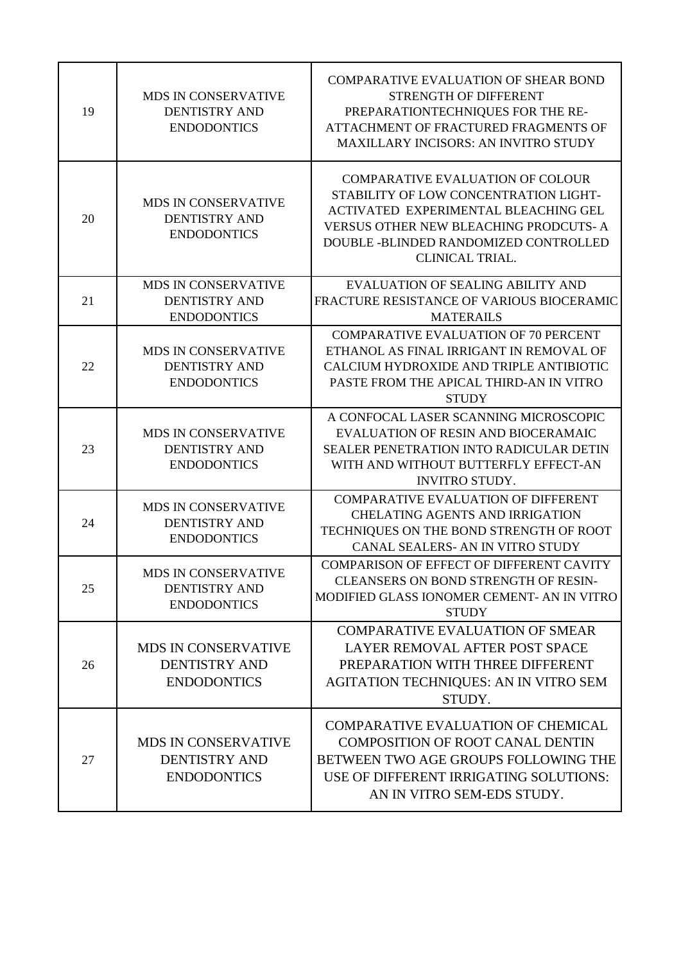| 19 | <b>MDS IN CONSERVATIVE</b><br><b>DENTISTRY AND</b><br><b>ENDODONTICS</b> | <b>COMPARATIVE EVALUATION OF SHEAR BOND</b><br><b>STRENGTH OF DIFFERENT</b><br>PREPARATIONTECHNIQUES FOR THE RE-<br>ATTACHMENT OF FRACTURED FRAGMENTS OF<br><b>MAXILLARY INCISORS: AN INVITRO STUDY</b>                                      |
|----|--------------------------------------------------------------------------|----------------------------------------------------------------------------------------------------------------------------------------------------------------------------------------------------------------------------------------------|
| 20 | MDS IN CONSERVATIVE<br><b>DENTISTRY AND</b><br><b>ENDODONTICS</b>        | <b>COMPARATIVE EVALUATION OF COLOUR</b><br>STABILITY OF LOW CONCENTRATION LIGHT-<br>ACTIVATED EXPERIMENTAL BLEACHING GEL<br><b>VERSUS OTHER NEW BLEACHING PRODCUTS- A</b><br>DOUBLE -BLINDED RANDOMIZED CONTROLLED<br><b>CLINICAL TRIAL.</b> |
| 21 | MDS IN CONSERVATIVE<br><b>DENTISTRY AND</b><br><b>ENDODONTICS</b>        | <b>EVALUATION OF SEALING ABILITY AND</b><br>FRACTURE RESISTANCE OF VARIOUS BIOCERAMIC<br><b>MATERAILS</b>                                                                                                                                    |
| 22 | <b>MDS IN CONSERVATIVE</b><br><b>DENTISTRY AND</b><br><b>ENDODONTICS</b> | <b>COMPARATIVE EVALUATION OF 70 PERCENT</b><br>ETHANOL AS FINAL IRRIGANT IN REMOVAL OF<br>CALCIUM HYDROXIDE AND TRIPLE ANTIBIOTIC<br>PASTE FROM THE APICAL THIRD-AN IN VITRO<br><b>STUDY</b>                                                 |
| 23 | <b>MDS IN CONSERVATIVE</b><br><b>DENTISTRY AND</b><br><b>ENDODONTICS</b> | A CONFOCAL LASER SCANNING MICROSCOPIC<br><b>EVALUATION OF RESIN AND BIOCERAMAIC</b><br>SEALER PENETRATION INTO RADICULAR DETIN<br>WITH AND WITHOUT BUTTERFLY EFFECT-AN<br><b>INVITRO STUDY.</b>                                              |
| 24 | MDS IN CONSERVATIVE<br><b>DENTISTRY AND</b><br><b>ENDODONTICS</b>        | <b>COMPARATIVE EVALUATION OF DIFFERENT</b><br><b>CHELATING AGENTS AND IRRIGATION</b><br>TECHNIQUES ON THE BOND STRENGTH OF ROOT<br>CANAL SEALERS- AN IN VITRO STUDY                                                                          |
| 25 | <b>MDS IN CONSERVATIVE</b><br><b>DENTISTRY AND</b><br><b>ENDODONTICS</b> | <b>COMPARISON OF EFFECT OF DIFFERENT CAVITY</b><br><b>CLEANSERS ON BOND STRENGTH OF RESIN-</b><br>MODIFIED GLASS IONOMER CEMENT- AN IN VITRO<br><b>STUDY</b>                                                                                 |
| 26 | <b>MDS IN CONSERVATIVE</b><br><b>DENTISTRY AND</b><br><b>ENDODONTICS</b> | <b>COMPARATIVE EVALUATION OF SMEAR</b><br>LAYER REMOVAL AFTER POST SPACE<br>PREPARATION WITH THREE DIFFERENT<br><b>AGITATION TECHNIQUES: AN IN VITRO SEM</b><br>STUDY.                                                                       |
| 27 | <b>MDS IN CONSERVATIVE</b><br><b>DENTISTRY AND</b><br><b>ENDODONTICS</b> | <b>COMPARATIVE EVALUATION OF CHEMICAL</b><br><b>COMPOSITION OF ROOT CANAL DENTIN</b><br>BETWEEN TWO AGE GROUPS FOLLOWING THE<br>USE OF DIFFERENT IRRIGATING SOLUTIONS:<br>AN IN VITRO SEM-EDS STUDY.                                         |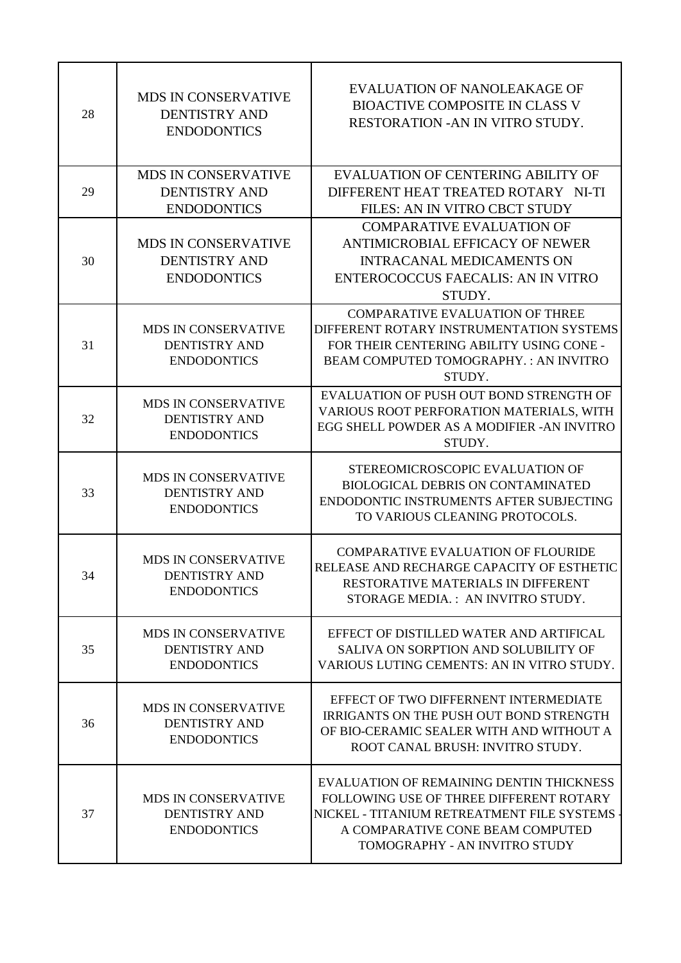| 28 | <b>MDS IN CONSERVATIVE</b><br><b>DENTISTRY AND</b><br><b>ENDODONTICS</b> | EVALUATION OF NANOLEAKAGE OF<br><b>BIOACTIVE COMPOSITE IN CLASS V</b><br>RESTORATION - AN IN VITRO STUDY.                                                                                              |
|----|--------------------------------------------------------------------------|--------------------------------------------------------------------------------------------------------------------------------------------------------------------------------------------------------|
| 29 | MDS IN CONSERVATIVE<br><b>DENTISTRY AND</b><br><b>ENDODONTICS</b>        | <b>EVALUATION OF CENTERING ABILITY OF</b><br>DIFFERENT HEAT TREATED ROTARY NI-TI<br>FILES: AN IN VITRO CBCT STUDY                                                                                      |
| 30 | <b>MDS IN CONSERVATIVE</b><br><b>DENTISTRY AND</b><br><b>ENDODONTICS</b> | <b>COMPARATIVE EVALUATION OF</b><br>ANTIMICROBIAL EFFICACY OF NEWER<br><b>INTRACANAL MEDICAMENTS ON</b><br>ENTEROCOCCUS FAECALIS: AN IN VITRO<br>STUDY.                                                |
| 31 | MDS IN CONSERVATIVE<br><b>DENTISTRY AND</b><br><b>ENDODONTICS</b>        | <b>COMPARATIVE EVALUATION OF THREE</b><br>DIFFERENT ROTARY INSTRUMENTATION SYSTEMS<br>FOR THEIR CENTERING ABILITY USING CONE -<br>BEAM COMPUTED TOMOGRAPHY. : AN INVITRO<br>STUDY.                     |
| 32 | <b>MDS IN CONSERVATIVE</b><br><b>DENTISTRY AND</b><br><b>ENDODONTICS</b> | EVALUATION OF PUSH OUT BOND STRENGTH OF<br>VARIOUS ROOT PERFORATION MATERIALS, WITH<br>EGG SHELL POWDER AS A MODIFIER -AN INVITRO<br>STUDY.                                                            |
| 33 | MDS IN CONSERVATIVE<br><b>DENTISTRY AND</b><br><b>ENDODONTICS</b>        | STEREOMICROSCOPIC EVALUATION OF<br><b>BIOLOGICAL DEBRIS ON CONTAMINATED</b><br>ENDODONTIC INSTRUMENTS AFTER SUBJECTING<br>TO VARIOUS CLEANING PROTOCOLS.                                               |
| 34 | <b>MDS IN CONSERVATIVE</b><br><b>DENTISTRY AND</b><br><b>ENDODONTICS</b> | <b>COMPARATIVE EVALUATION OF FLOURIDE</b><br>RELEASE AND RECHARGE CAPACITY OF ESTHETIC<br>RESTORATIVE MATERIALS IN DIFFERENT<br>STORAGE MEDIA.: AN INVITRO STUDY.                                      |
| 35 | <b>MDS IN CONSERVATIVE</b><br><b>DENTISTRY AND</b><br><b>ENDODONTICS</b> | EFFECT OF DISTILLED WATER AND ARTIFICAL<br>SALIVA ON SORPTION AND SOLUBILITY OF<br>VARIOUS LUTING CEMENTS: AN IN VITRO STUDY.                                                                          |
| 36 | MDS IN CONSERVATIVE<br><b>DENTISTRY AND</b><br><b>ENDODONTICS</b>        | EFFECT OF TWO DIFFERNENT INTERMEDIATE<br>IRRIGANTS ON THE PUSH OUT BOND STRENGTH<br>OF BIO-CERAMIC SEALER WITH AND WITHOUT A<br>ROOT CANAL BRUSH: INVITRO STUDY.                                       |
| 37 | <b>MDS IN CONSERVATIVE</b><br><b>DENTISTRY AND</b><br><b>ENDODONTICS</b> | EVALUATION OF REMAINING DENTIN THICKNESS<br>FOLLOWING USE OF THREE DIFFERENT ROTARY<br>NICKEL - TITANIUM RETREATMENT FILE SYSTEMS<br>A COMPARATIVE CONE BEAM COMPUTED<br>TOMOGRAPHY - AN INVITRO STUDY |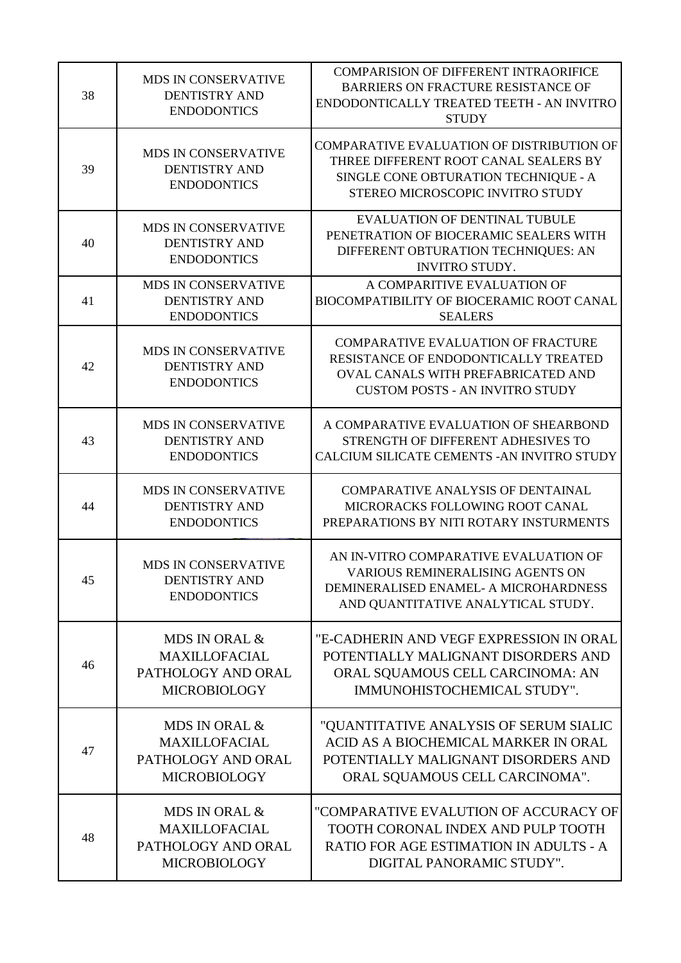| 38 | <b>MDS IN CONSERVATIVE</b><br><b>DENTISTRY AND</b><br><b>ENDODONTICS</b>           | <b>COMPARISION OF DIFFERENT INTRAORIFICE</b><br><b>BARRIERS ON FRACTURE RESISTANCE OF</b><br>ENDODONTICALLY TREATED TEETH - AN INVITRO<br><b>STUDY</b>            |
|----|------------------------------------------------------------------------------------|-------------------------------------------------------------------------------------------------------------------------------------------------------------------|
| 39 | MDS IN CONSERVATIVE<br><b>DENTISTRY AND</b><br><b>ENDODONTICS</b>                  | COMPARATIVE EVALUATION OF DISTRIBUTION OF<br>THREE DIFFERENT ROOT CANAL SEALERS BY<br>SINGLE CONE OBTURATION TECHNIQUE - A<br>STEREO MICROSCOPIC INVITRO STUDY    |
| 40 | MDS IN CONSERVATIVE<br><b>DENTISTRY AND</b><br><b>ENDODONTICS</b>                  | <b>EVALUATION OF DENTINAL TUBULE</b><br>PENETRATION OF BIOCERAMIC SEALERS WITH<br>DIFFERENT OBTURATION TECHNIQUES: AN<br><b>INVITRO STUDY.</b>                    |
| 41 | MDS IN CONSERVATIVE<br><b>DENTISTRY AND</b><br><b>ENDODONTICS</b>                  | A COMPARITIVE EVALUATION OF<br>BIOCOMPATIBILITY OF BIOCERAMIC ROOT CANAL<br><b>SEALERS</b>                                                                        |
| 42 | MDS IN CONSERVATIVE<br><b>DENTISTRY AND</b><br><b>ENDODONTICS</b>                  | <b>COMPARATIVE EVALUATION OF FRACTURE</b><br>RESISTANCE OF ENDODONTICALLY TREATED<br>OVAL CANALS WITH PREFABRICATED AND<br><b>CUSTOM POSTS - AN INVITRO STUDY</b> |
| 43 | MDS IN CONSERVATIVE<br><b>DENTISTRY AND</b><br><b>ENDODONTICS</b>                  | A COMPARATIVE EVALUATION OF SHEARBOND<br>STRENGTH OF DIFFERENT ADHESIVES TO<br>CALCIUM SILICATE CEMENTS - AN INVITRO STUDY                                        |
| 44 | MDS IN CONSERVATIVE<br><b>DENTISTRY AND</b><br><b>ENDODONTICS</b>                  | <b>COMPARATIVE ANALYSIS OF DENTAINAL</b><br>MICRORACKS FOLLOWING ROOT CANAL<br>PREPARATIONS BY NITI ROTARY INSTURMENTS                                            |
| 45 | MDS IN CONSERVATIVE<br><b>DENTISTRY AND</b><br><b>ENDODONTICS</b>                  | AN IN-VITRO COMPARATIVE EVALUATION OF<br><b>VARIOUS REMINERALISING AGENTS ON</b><br>DEMINERALISED ENAMEL- A MICROHARDNESS<br>AND QUANTITATIVE ANALYTICAL STUDY.   |
| 46 | MDS IN ORAL &<br><b>MAXILLOFACIAL</b><br>PATHOLOGY AND ORAL<br><b>MICROBIOLOGY</b> | "E-CADHERIN AND VEGF EXPRESSION IN ORAL<br>POTENTIALLY MALIGNANT DISORDERS AND<br>ORAL SQUAMOUS CELL CARCINOMA: AN<br>IMMUNOHISTOCHEMICAL STUDY".                 |
| 47 | MDS IN ORAL &<br><b>MAXILLOFACIAL</b><br>PATHOLOGY AND ORAL<br><b>MICROBIOLOGY</b> | "QUANTITATIVE ANALYSIS OF SERUM SIALIC<br>ACID AS A BIOCHEMICAL MARKER IN ORAL<br>POTENTIALLY MALIGNANT DISORDERS AND<br>ORAL SQUAMOUS CELL CARCINOMA".           |
| 48 | MDS IN ORAL &<br><b>MAXILLOFACIAL</b><br>PATHOLOGY AND ORAL<br><b>MICROBIOLOGY</b> | "COMPARATIVE EVALUTION OF ACCURACY OF<br>TOOTH CORONAL INDEX AND PULP TOOTH<br>RATIO FOR AGE ESTIMATION IN ADULTS - A<br>DIGITAL PANORAMIC STUDY".                |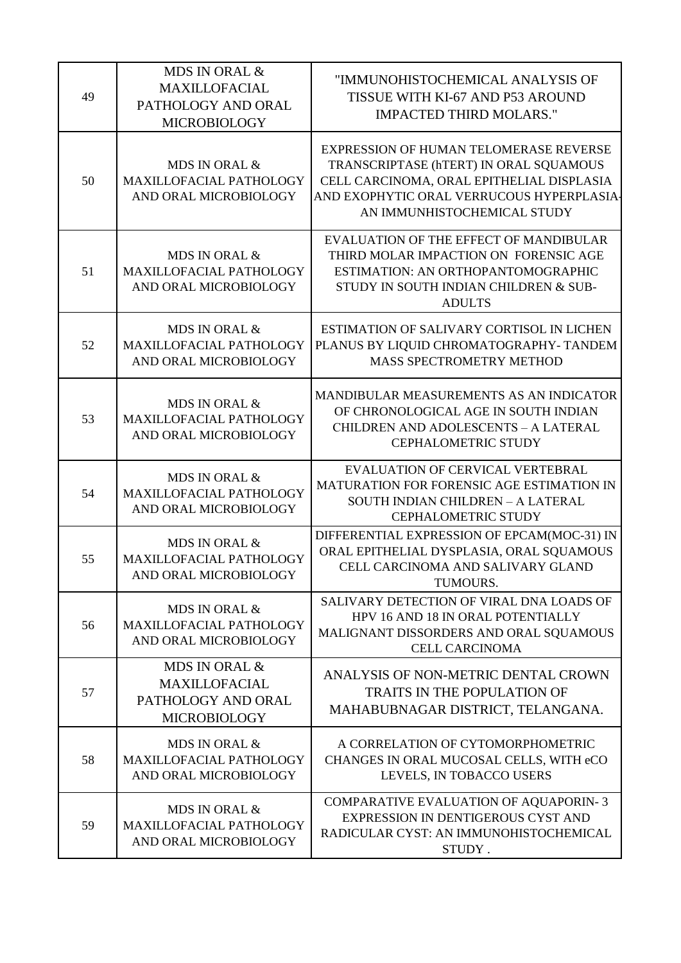| 49 | MDS IN ORAL &<br><b>MAXILLOFACIAL</b><br>PATHOLOGY AND ORAL<br><b>MICROBIOLOGY</b> | "IMMUNOHISTOCHEMICAL ANALYSIS OF<br>TISSUE WITH KI-67 AND P53 AROUND<br><b>IMPACTED THIRD MOLARS."</b>                                                                                                    |
|----|------------------------------------------------------------------------------------|-----------------------------------------------------------------------------------------------------------------------------------------------------------------------------------------------------------|
| 50 | MDS IN ORAL &<br>MAXILLOFACIAL PATHOLOGY<br>AND ORAL MICROBIOLOGY                  | EXPRESSION OF HUMAN TELOMERASE REVERSE<br>TRANSCRIPTASE (hTERT) IN ORAL SQUAMOUS<br>CELL CARCINOMA, ORAL EPITHELIAL DISPLASIA<br>AND EXOPHYTIC ORAL VERRUCOUS HYPERPLASIA-<br>AN IMMUNHISTOCHEMICAL STUDY |
| 51 | MDS IN ORAL &<br>MAXILLOFACIAL PATHOLOGY<br>AND ORAL MICROBIOLOGY                  | EVALUATION OF THE EFFECT OF MANDIBULAR<br>THIRD MOLAR IMPACTION ON FORENSIC AGE<br>ESTIMATION: AN ORTHOPANTOMOGRAPHIC<br>STUDY IN SOUTH INDIAN CHILDREN & SUB-<br><b>ADULTS</b>                           |
| 52 | MDS IN ORAL &<br>MAXILLOFACIAL PATHOLOGY<br>AND ORAL MICROBIOLOGY                  | ESTIMATION OF SALIVARY CORTISOL IN LICHEN<br>PLANUS BY LIQUID CHROMATOGRAPHY- TANDEM<br>MASS SPECTROMETRY METHOD                                                                                          |
| 53 | MDS IN ORAL &<br>MAXILLOFACIAL PATHOLOGY<br>AND ORAL MICROBIOLOGY                  | MANDIBULAR MEASUREMENTS AS AN INDICATOR<br>OF CHRONOLOGICAL AGE IN SOUTH INDIAN<br><b>CHILDREN AND ADOLESCENTS - A LATERAL</b><br><b>CEPHALOMETRIC STUDY</b>                                              |
| 54 | MDS IN ORAL &<br>MAXILLOFACIAL PATHOLOGY<br>AND ORAL MICROBIOLOGY                  | EVALUATION OF CERVICAL VERTEBRAL<br>MATURATION FOR FORENSIC AGE ESTIMATION IN<br>SOUTH INDIAN CHILDREN - A LATERAL<br><b>CEPHALOMETRIC STUDY</b>                                                          |
| 55 | MDS IN ORAL &<br>MAXILLOFACIAL PATHOLOGY<br>AND ORAL MICROBIOLOGY                  | DIFFERENTIAL EXPRESSION OF EPCAM(MOC-31) IN<br>ORAL EPITHELIAL DYSPLASIA, ORAL SQUAMOUS<br>CELL CARCINOMA AND SALIVARY GLAND<br>TUMOURS.                                                                  |
| 56 | MDS IN ORAL &<br>MAXILLOFACIAL PATHOLOGY<br>AND ORAL MICROBIOLOGY                  | SALIVARY DETECTION OF VIRAL DNA LOADS OF<br>HPV 16 AND 18 IN ORAL POTENTIALLY<br>MALIGNANT DISSORDERS AND ORAL SQUAMOUS<br><b>CELL CARCINOMA</b>                                                          |
| 57 | MDS IN ORAL &<br><b>MAXILLOFACIAL</b><br>PATHOLOGY AND ORAL<br><b>MICROBIOLOGY</b> | ANALYSIS OF NON-METRIC DENTAL CROWN<br><b>TRAITS IN THE POPULATION OF</b><br>MAHABUBNAGAR DISTRICT, TELANGANA.                                                                                            |
| 58 | MDS IN ORAL &<br>MAXILLOFACIAL PATHOLOGY<br>AND ORAL MICROBIOLOGY                  | A CORRELATION OF CYTOMORPHOMETRIC<br>CHANGES IN ORAL MUCOSAL CELLS, WITH eCO<br>LEVELS, IN TOBACCO USERS                                                                                                  |
| 59 | MDS IN ORAL &<br>MAXILLOFACIAL PATHOLOGY<br>AND ORAL MICROBIOLOGY                  | COMPARATIVE EVALUATION OF AQUAPORIN-3<br>EXPRESSION IN DENTIGEROUS CYST AND<br>RADICULAR CYST: AN IMMUNOHISTOCHEMICAL<br>STUDY.                                                                           |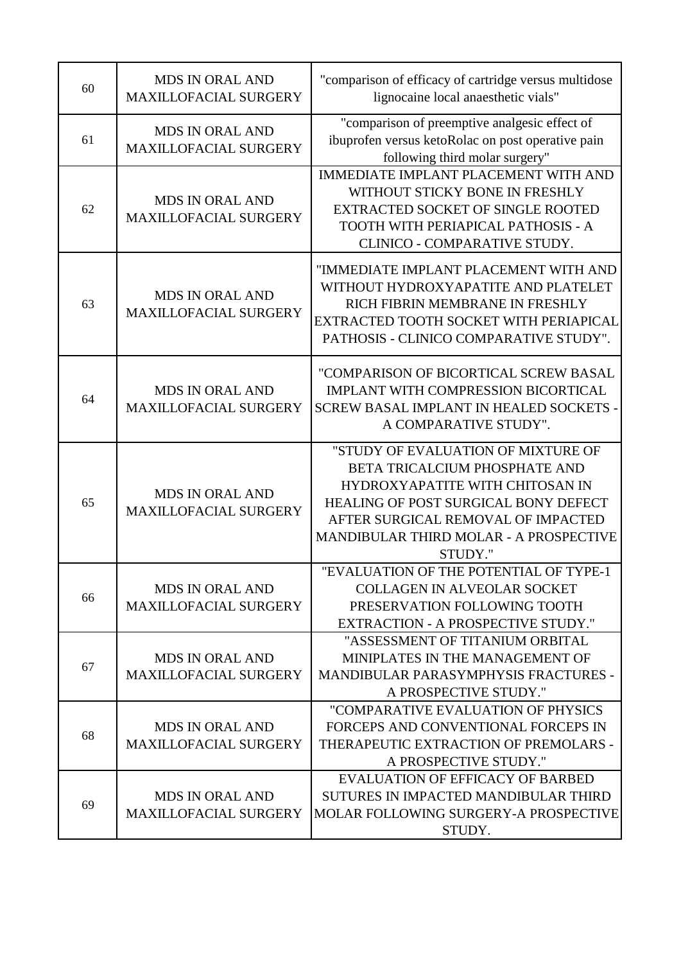| 60 | <b>MDS IN ORAL AND</b><br><b>MAXILLOFACIAL SURGERY</b> | "comparison of efficacy of cartridge versus multidose<br>lignocaine local anaesthetic vials"                                                                                                                                                     |
|----|--------------------------------------------------------|--------------------------------------------------------------------------------------------------------------------------------------------------------------------------------------------------------------------------------------------------|
| 61 | <b>MDS IN ORAL AND</b><br><b>MAXILLOFACIAL SURGERY</b> | "comparison of preemptive analgesic effect of<br>ibuprofen versus ketoRolac on post operative pain<br>following third molar surgery"                                                                                                             |
| 62 | <b>MDS IN ORAL AND</b><br><b>MAXILLOFACIAL SURGERY</b> | <b>IMMEDIATE IMPLANT PLACEMENT WITH AND</b><br>WITHOUT STICKY BONE IN FRESHLY<br><b>EXTRACTED SOCKET OF SINGLE ROOTED</b><br>TOOTH WITH PERIAPICAL PATHOSIS - A<br>CLINICO - COMPARATIVE STUDY.                                                  |
| 63 | <b>MDS IN ORAL AND</b><br><b>MAXILLOFACIAL SURGERY</b> | "IMMEDIATE IMPLANT PLACEMENT WITH AND<br>WITHOUT HYDROXYAPATITE AND PLATELET<br>RICH FIBRIN MEMBRANE IN FRESHLY<br>EXTRACTED TOOTH SOCKET WITH PERIAPICAL<br>PATHOSIS - CLINICO COMPARATIVE STUDY".                                              |
| 64 | <b>MDS IN ORAL AND</b><br><b>MAXILLOFACIAL SURGERY</b> | "COMPARISON OF BICORTICAL SCREW BASAL<br>IMPLANT WITH COMPRESSION BICORTICAL<br>SCREW BASAL IMPLANT IN HEALED SOCKETS -<br>A COMPARATIVE STUDY".                                                                                                 |
| 65 | <b>MDS IN ORAL AND</b><br>MAXILLOFACIAL SURGERY        | "STUDY OF EVALUATION OF MIXTURE OF<br>BETA TRICALCIUM PHOSPHATE AND<br>HYDROXYAPATITE WITH CHITOSAN IN<br><b>HEALING OF POST SURGICAL BONY DEFECT</b><br>AFTER SURGICAL REMOVAL OF IMPACTED<br>MANDIBULAR THIRD MOLAR - A PROSPECTIVE<br>STUDY." |
| 66 | <b>MDS IN ORAL AND</b><br><b>MAXILLOFACIAL SURGERY</b> | "EVALUATION OF THE POTENTIAL OF TYPE-1<br><b>COLLAGEN IN ALVEOLAR SOCKET</b><br>PRESERVATION FOLLOWING TOOTH<br><b>EXTRACTION - A PROSPECTIVE STUDY."</b>                                                                                        |
| 67 | <b>MDS IN ORAL AND</b><br><b>MAXILLOFACIAL SURGERY</b> | "ASSESSMENT OF TITANIUM ORBITAL<br>MINIPLATES IN THE MANAGEMENT OF<br><b>MANDIBULAR PARASYMPHYSIS FRACTURES -</b><br>A PROSPECTIVE STUDY."                                                                                                       |
| 68 | <b>MDS IN ORAL AND</b><br><b>MAXILLOFACIAL SURGERY</b> | "COMPARATIVE EVALUATION OF PHYSICS<br>FORCEPS AND CONVENTIONAL FORCEPS IN<br>THERAPEUTIC EXTRACTION OF PREMOLARS -<br>A PROSPECTIVE STUDY."                                                                                                      |
| 69 | <b>MDS IN ORAL AND</b><br><b>MAXILLOFACIAL SURGERY</b> | <b>EVALUATION OF EFFICACY OF BARBED</b><br>SUTURES IN IMPACTED MANDIBULAR THIRD<br>MOLAR FOLLOWING SURGERY-A PROSPECTIVE<br>STUDY.                                                                                                               |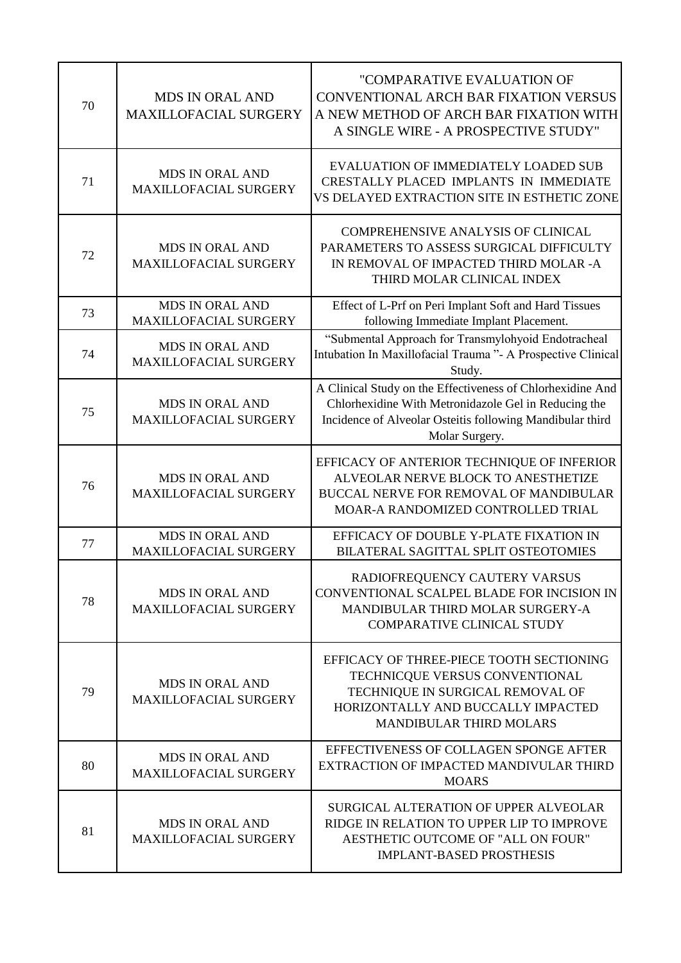| 70 | <b>MDS IN ORAL AND</b><br>MAXILLOFACIAL SURGERY        | "COMPARATIVE EVALUATION OF<br>CONVENTIONAL ARCH BAR FIXATION VERSUS<br>A NEW METHOD OF ARCH BAR FIXATION WITH<br>A SINGLE WIRE - A PROSPECTIVE STUDY"                                             |
|----|--------------------------------------------------------|---------------------------------------------------------------------------------------------------------------------------------------------------------------------------------------------------|
| 71 | <b>MDS IN ORAL AND</b><br><b>MAXILLOFACIAL SURGERY</b> | EVALUATION OF IMMEDIATELY LOADED SUB<br>CRESTALLY PLACED IMPLANTS IN IMMEDIATE<br>VS DELAYED EXTRACTION SITE IN ESTHETIC ZONE                                                                     |
| 72 | <b>MDS IN ORAL AND</b><br>MAXILLOFACIAL SURGERY        | <b>COMPREHENSIVE ANALYSIS OF CLINICAL</b><br>PARAMETERS TO ASSESS SURGICAL DIFFICULTY<br>IN REMOVAL OF IMPACTED THIRD MOLAR -A<br>THIRD MOLAR CLINICAL INDEX                                      |
| 73 | <b>MDS IN ORAL AND</b><br>MAXILLOFACIAL SURGERY        | Effect of L-Prf on Peri Implant Soft and Hard Tissues<br>following Immediate Implant Placement.                                                                                                   |
| 74 | <b>MDS IN ORAL AND</b><br>MAXILLOFACIAL SURGERY        | "Submental Approach for Transmylohyoid Endotracheal<br>Intubation In Maxillofacial Trauma "- A Prospective Clinical<br>Study.                                                                     |
| 75 | <b>MDS IN ORAL AND</b><br>MAXILLOFACIAL SURGERY        | A Clinical Study on the Effectiveness of Chlorhexidine And<br>Chlorhexidine With Metronidazole Gel in Reducing the<br>Incidence of Alveolar Osteitis following Mandibular third<br>Molar Surgery. |
| 76 | <b>MDS IN ORAL AND</b><br>MAXILLOFACIAL SURGERY        | EFFICACY OF ANTERIOR TECHNIQUE OF INFERIOR<br>ALVEOLAR NERVE BLOCK TO ANESTHETIZE<br>BUCCAL NERVE FOR REMOVAL OF MANDIBULAR<br>MOAR-A RANDOMIZED CONTROLLED TRIAL                                 |
| 77 | <b>MDS IN ORAL AND</b><br>MAXILLOFACIAL SURGERY        | EFFICACY OF DOUBLE Y-PLATE FIXATION IN<br>BILATERAL SAGITTAL SPLIT OSTEOTOMIES                                                                                                                    |
| 78 | <b>MDS IN ORAL AND</b><br><b>MAXILLOFACIAL SURGERY</b> | RADIOFREQUENCY CAUTERY VARSUS<br>CONVENTIONAL SCALPEL BLADE FOR INCISION IN<br>MANDIBULAR THIRD MOLAR SURGERY-A<br><b>COMPARATIVE CLINICAL STUDY</b>                                              |
| 79 | <b>MDS IN ORAL AND</b><br><b>MAXILLOFACIAL SURGERY</b> | EFFICACY OF THREE-PIECE TOOTH SECTIONING<br>TECHNICQUE VERSUS CONVENTIONAL<br>TECHNIQUE IN SURGICAL REMOVAL OF<br>HORIZONTALLY AND BUCCALLY IMPACTED<br><b>MANDIBULAR THIRD MOLARS</b>            |
| 80 | <b>MDS IN ORAL AND</b><br><b>MAXILLOFACIAL SURGERY</b> | EFFECTIVENESS OF COLLAGEN SPONGE AFTER<br>EXTRACTION OF IMPACTED MANDIVULAR THIRD<br><b>MOARS</b>                                                                                                 |
| 81 | <b>MDS IN ORAL AND</b><br><b>MAXILLOFACIAL SURGERY</b> | SURGICAL ALTERATION OF UPPER ALVEOLAR<br>RIDGE IN RELATION TO UPPER LIP TO IMPROVE<br>AESTHETIC OUTCOME OF "ALL ON FOUR"<br><b>IMPLANT-BASED PROSTHESIS</b>                                       |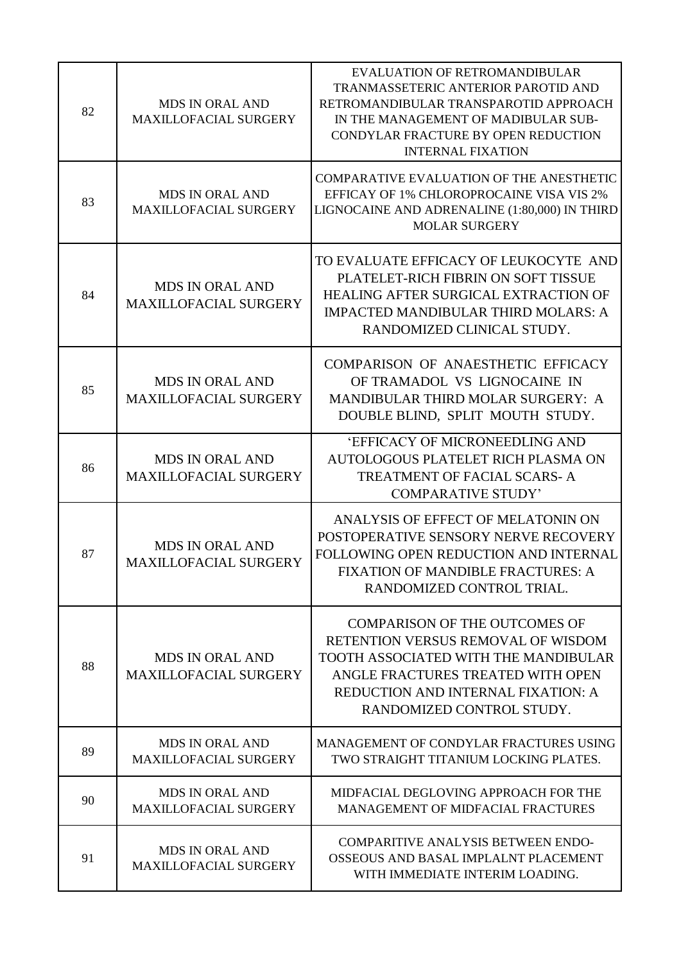| 82 | <b>MDS IN ORAL AND</b><br><b>MAXILLOFACIAL SURGERY</b> | <b>EVALUATION OF RETROMANDIBULAR</b><br>TRANMASSETERIC ANTERIOR PAROTID AND<br>RETROMANDIBULAR TRANSPAROTID APPROACH<br>IN THE MANAGEMENT OF MADIBULAR SUB-<br>CONDYLAR FRACTURE BY OPEN REDUCTION<br><b>INTERNAL FIXATION</b>    |
|----|--------------------------------------------------------|-----------------------------------------------------------------------------------------------------------------------------------------------------------------------------------------------------------------------------------|
| 83 | <b>MDS IN ORAL AND</b><br><b>MAXILLOFACIAL SURGERY</b> | COMPARATIVE EVALUATION OF THE ANESTHETIC<br>EFFICAY OF 1% CHLOROPROCAINE VISA VIS 2%<br>LIGNOCAINE AND ADRENALINE (1:80,000) IN THIRD<br><b>MOLAR SURGERY</b>                                                                     |
| 84 | <b>MDS IN ORAL AND</b><br><b>MAXILLOFACIAL SURGERY</b> | TO EVALUATE EFFICACY OF LEUKOCYTE AND<br>PLATELET-RICH FIBRIN ON SOFT TISSUE<br><b>HEALING AFTER SURGICAL EXTRACTION OF</b><br><b>IMPACTED MANDIBULAR THIRD MOLARS: A</b><br>RANDOMIZED CLINICAL STUDY.                           |
| 85 | <b>MDS IN ORAL AND</b><br><b>MAXILLOFACIAL SURGERY</b> | COMPARISON OF ANAESTHETIC EFFICACY<br>OF TRAMADOL VS LIGNOCAINE IN<br>MANDIBULAR THIRD MOLAR SURGERY: A<br>DOUBLE BLIND, SPLIT MOUTH STUDY.                                                                                       |
| 86 | <b>MDS IN ORAL AND</b><br><b>MAXILLOFACIAL SURGERY</b> | 'EFFICACY OF MICRONEEDLING AND<br>AUTOLOGOUS PLATELET RICH PLASMA ON<br>TREATMENT OF FACIAL SCARS-A<br><b>COMPARATIVE STUDY'</b>                                                                                                  |
| 87 | <b>MDS IN ORAL AND</b><br><b>MAXILLOFACIAL SURGERY</b> | ANALYSIS OF EFFECT OF MELATONIN ON<br>POSTOPERATIVE SENSORY NERVE RECOVERY<br>FOLLOWING OPEN REDUCTION AND INTERNAL<br><b>FIXATION OF MANDIBLE FRACTURES: A</b><br>RANDOMIZED CONTROL TRIAL.                                      |
| 88 | <b>MDS IN ORAL AND</b><br><b>MAXILLOFACIAL SURGERY</b> | <b>COMPARISON OF THE OUTCOMES OF</b><br>RETENTION VERSUS REMOVAL OF WISDOM<br><b>TOOTH ASSOCIATED WITH THE MANDIBULAR</b><br>ANGLE FRACTURES TREATED WITH OPEN<br>REDUCTION AND INTERNAL FIXATION: A<br>RANDOMIZED CONTROL STUDY. |
| 89 | <b>MDS IN ORAL AND</b><br><b>MAXILLOFACIAL SURGERY</b> | MANAGEMENT OF CONDYLAR FRACTURES USING<br>TWO STRAIGHT TITANIUM LOCKING PLATES.                                                                                                                                                   |
| 90 | <b>MDS IN ORAL AND</b><br><b>MAXILLOFACIAL SURGERY</b> | MIDFACIAL DEGLOVING APPROACH FOR THE<br><b>MANAGEMENT OF MIDFACIAL FRACTURES</b>                                                                                                                                                  |
| 91 | <b>MDS IN ORAL AND</b><br><b>MAXILLOFACIAL SURGERY</b> | <b>COMPARITIVE ANALYSIS BETWEEN ENDO-</b><br>OSSEOUS AND BASAL IMPLALNT PLACEMENT<br>WITH IMMEDIATE INTERIM LOADING.                                                                                                              |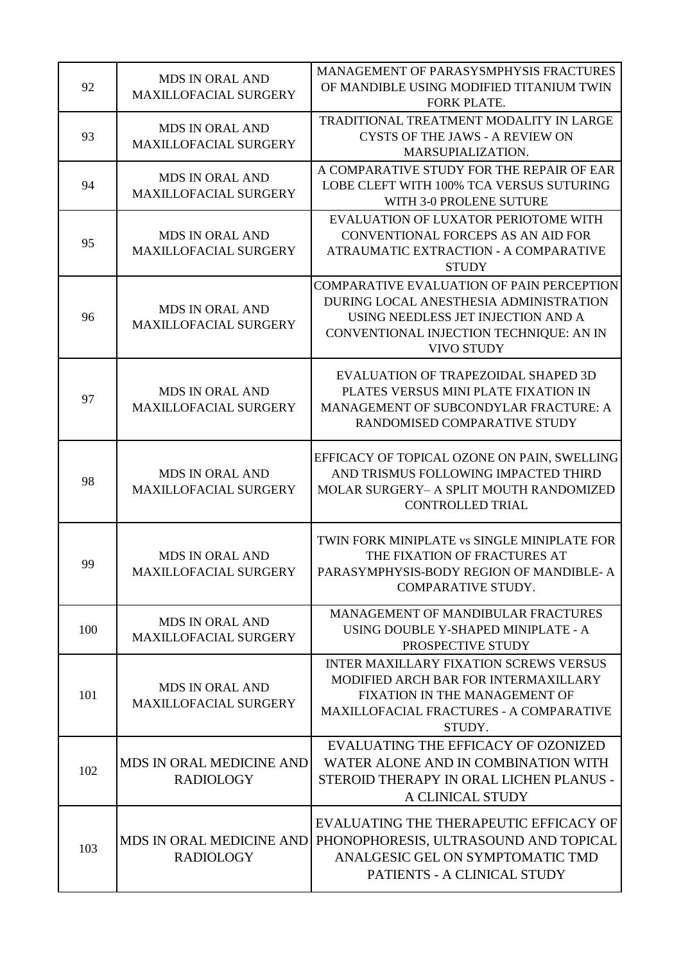| 92  | <b>MDS IN ORAL AND</b><br><b>MAXILLOFACIAL SURGERY</b> | MANAGEMENT OF PARASYSMPHYSIS FRACTURES<br>OF MANDIBLE USING MODIFIED TITANIUM TWIN<br><b>FORK PLATE.</b>                                                                                         |
|-----|--------------------------------------------------------|--------------------------------------------------------------------------------------------------------------------------------------------------------------------------------------------------|
| 93  | <b>MDS IN ORAL AND</b><br><b>MAXILLOFACIAL SURGERY</b> | TRADITIONAL TREATMENT MODALITY IN LARGE<br><b>CYSTS OF THE JAWS - A REVIEW ON</b><br>MARSUPIALIZATION.                                                                                           |
| 94  | <b>MDS IN ORAL AND</b><br><b>MAXILLOFACIAL SURGERY</b> | A COMPARATIVE STUDY FOR THE REPAIR OF EAR<br>LOBE CLEFT WITH 100% TCA VERSUS SUTURING<br>WITH 3-0 PROLENE SUTURE                                                                                 |
| 95  | <b>MDS IN ORAL AND</b><br><b>MAXILLOFACIAL SURGERY</b> | EVALUATION OF LUXATOR PERIOTOME WITH<br>CONVENTIONAL FORCEPS AS AN AID FOR<br>ATRAUMATIC EXTRACTION - A COMPARATIVE<br><b>STUDY</b>                                                              |
| 96  | <b>MDS IN ORAL AND</b><br><b>MAXILLOFACIAL SURGERY</b> | <b>COMPARATIVE EVALUATION OF PAIN PERCEPTION</b><br>DURING LOCAL ANESTHESIA ADMINISTRATION<br>USING NEEDLESS JET INJECTION AND A<br>CONVENTIONAL INJECTION TECHNIQUE: AN IN<br><b>VIVO STUDY</b> |
| 97  | <b>MDS IN ORAL AND</b><br><b>MAXILLOFACIAL SURGERY</b> | EVALUATION OF TRAPEZOIDAL SHAPED 3D<br>PLATES VERSUS MINI PLATE FIXATION IN<br>MANAGEMENT OF SUBCONDYLAR FRACTURE: A<br>RANDOMISED COMPARATIVE STUDY                                             |
| 98  | <b>MDS IN ORAL AND</b><br><b>MAXILLOFACIAL SURGERY</b> | EFFICACY OF TOPICAL OZONE ON PAIN, SWELLING<br>AND TRISMUS FOLLOWING IMPACTED THIRD<br>MOLAR SURGERY- A SPLIT MOUTH RANDOMIZED<br><b>CONTROLLED TRIAL</b>                                        |
| 99  | <b>MDS IN ORAL AND</b><br><b>MAXILLOFACIAL SURGERY</b> | TWIN FORK MINIPLATE vs SINGLE MINIPLATE FOR<br>THE FIXATION OF FRACTURES AT<br>PARASYMPHYSIS-BODY REGION OF MANDIBLE-A<br>COMPARATIVE STUDY.                                                     |
| 100 | <b>MDS IN ORAL AND</b><br><b>MAXILLOFACIAL SURGERY</b> | <b>MANAGEMENT OF MANDIBULAR FRACTURES</b><br>USING DOUBLE Y-SHAPED MINIPLATE - A<br>PROSPECTIVE STUDY                                                                                            |
| 101 | <b>MDS IN ORAL AND</b><br><b>MAXILLOFACIAL SURGERY</b> | <b>INTER MAXILLARY FIXATION SCREWS VERSUS</b><br>MODIFIED ARCH BAR FOR INTERMAXILLARY<br>FIXATION IN THE MANAGEMENT OF<br><b>MAXILLOFACIAL FRACTURES - A COMPARATIVE</b><br>STUDY.               |
| 102 | <b>MDS IN ORAL MEDICINE AND</b><br><b>RADIOLOGY</b>    | EVALUATING THE EFFICACY OF OZONIZED<br>WATER ALONE AND IN COMBINATION WITH<br>STEROID THERAPY IN ORAL LICHEN PLANUS -<br>A CLINICAL STUDY                                                        |
| 103 | <b>MDS IN ORAL MEDICINE AND</b><br><b>RADIOLOGY</b>    | EVALUATING THE THERAPEUTIC EFFICACY OF<br>PHONOPHORESIS, ULTRASOUND AND TOPICAL<br>ANALGESIC GEL ON SYMPTOMATIC TMD<br>PATIENTS - A CLINICAL STUDY                                               |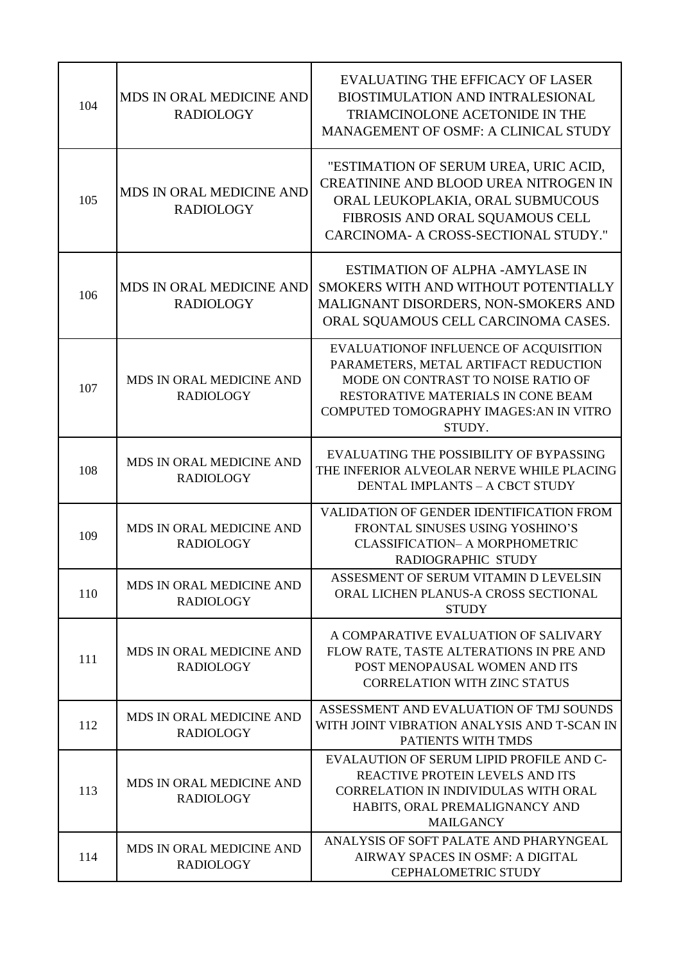| 104 | <b>MDS IN ORAL MEDICINE AND</b><br><b>RADIOLOGY</b> | <b>EVALUATING THE EFFICACY OF LASER</b><br>BIOSTIMULATION AND INTRALESIONAL<br>TRIAMCINOLONE ACETONIDE IN THE<br><b>MANAGEMENT OF OSMF: A CLINICAL STUDY</b>                                                   |
|-----|-----------------------------------------------------|----------------------------------------------------------------------------------------------------------------------------------------------------------------------------------------------------------------|
| 105 | <b>MDS IN ORAL MEDICINE AND</b><br><b>RADIOLOGY</b> | "ESTIMATION OF SERUM UREA, URIC ACID,<br>CREATININE AND BLOOD UREA NITROGEN IN<br>ORAL LEUKOPLAKIA, ORAL SUBMUCOUS<br>FIBROSIS AND ORAL SQUAMOUS CELL<br>CARCINOMA- A CROSS-SECTIONAL STUDY."                  |
| 106 | MDS IN ORAL MEDICINE AND<br><b>RADIOLOGY</b>        | <b>ESTIMATION OF ALPHA - AMYLASE IN</b><br>SMOKERS WITH AND WITHOUT POTENTIALLY<br>MALIGNANT DISORDERS, NON-SMOKERS AND<br>ORAL SQUAMOUS CELL CARCINOMA CASES.                                                 |
| 107 | MDS IN ORAL MEDICINE AND<br><b>RADIOLOGY</b>        | EVALUATIONOF INFLUENCE OF ACQUISITION<br>PARAMETERS, METAL ARTIFACT REDUCTION<br>MODE ON CONTRAST TO NOISE RATIO OF<br>RESTORATIVE MATERIALS IN CONE BEAM<br>COMPUTED TOMOGRAPHY IMAGES: AN IN VITRO<br>STUDY. |
| 108 | MDS IN ORAL MEDICINE AND<br><b>RADIOLOGY</b>        | EVALUATING THE POSSIBILITY OF BYPASSING<br>THE INFERIOR ALVEOLAR NERVE WHILE PLACING<br><b>DENTAL IMPLANTS - A CBCT STUDY</b>                                                                                  |
| 109 | MDS IN ORAL MEDICINE AND<br><b>RADIOLOGY</b>        | VALIDATION OF GENDER IDENTIFICATION FROM<br>FRONTAL SINUSES USING YOSHINO'S<br><b>CLASSIFICATION- A MORPHOMETRIC</b><br>RADIOGRAPHIC STUDY                                                                     |
| 110 | MDS IN ORAL MEDICINE AND<br><b>RADIOLOGY</b>        | ASSESMENT OF SERUM VITAMIN D LEVELSIN<br>ORAL LICHEN PLANUS-A CROSS SECTIONAL<br><b>STUDY</b>                                                                                                                  |
| 111 | <b>MDS IN ORAL MEDICINE AND</b><br><b>RADIOLOGY</b> | A COMPARATIVE EVALUATION OF SALIVARY<br>FLOW RATE, TASTE ALTERATIONS IN PRE AND<br>POST MENOPAUSAL WOMEN AND ITS<br><b>CORRELATION WITH ZINC STATUS</b>                                                        |
| 112 | <b>MDS IN ORAL MEDICINE AND</b><br><b>RADIOLOGY</b> | ASSESSMENT AND EVALUATION OF TMJ SOUNDS<br>WITH JOINT VIBRATION ANALYSIS AND T-SCAN IN<br>PATIENTS WITH TMDS                                                                                                   |
| 113 | MDS IN ORAL MEDICINE AND<br><b>RADIOLOGY</b>        | EVALAUTION OF SERUM LIPID PROFILE AND C-<br>REACTIVE PROTEIN LEVELS AND ITS<br><b>CORRELATION IN INDIVIDULAS WITH ORAL</b><br>HABITS, ORAL PREMALIGNANCY AND<br><b>MAILGANCY</b>                               |
| 114 | MDS IN ORAL MEDICINE AND<br><b>RADIOLOGY</b>        | ANALYSIS OF SOFT PALATE AND PHARYNGEAL<br>AIRWAY SPACES IN OSMF: A DIGITAL<br><b>CEPHALOMETRIC STUDY</b>                                                                                                       |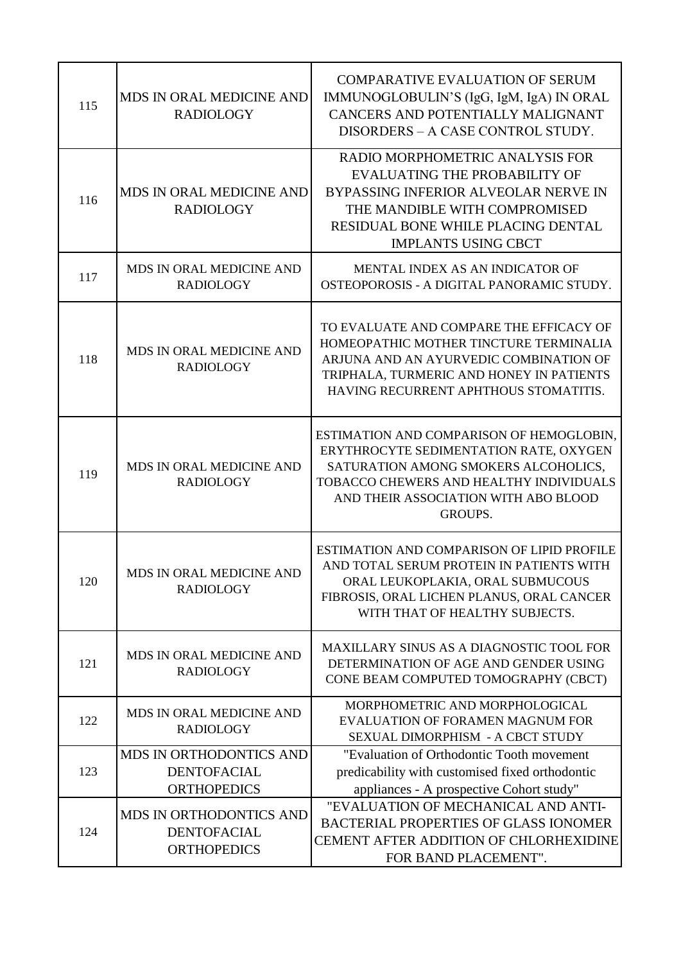| 115 | MDS IN ORAL MEDICINE AND<br><b>RADIOLOGY</b>                               | <b>COMPARATIVE EVALUATION OF SERUM</b><br>IMMUNOGLOBULIN'S (IgG, IgM, IgA) IN ORAL<br>CANCERS AND POTENTIALLY MALIGNANT<br>DISORDERS – A CASE CONTROL STUDY.                                                                    |
|-----|----------------------------------------------------------------------------|---------------------------------------------------------------------------------------------------------------------------------------------------------------------------------------------------------------------------------|
| 116 | <b>MDS IN ORAL MEDICINE AND</b><br><b>RADIOLOGY</b>                        | RADIO MORPHOMETRIC ANALYSIS FOR<br><b>EVALUATING THE PROBABILITY OF</b><br>BYPASSING INFERIOR ALVEOLAR NERVE IN<br>THE MANDIBLE WITH COMPROMISED<br>RESIDUAL BONE WHILE PLACING DENTAL<br><b>IMPLANTS USING CBCT</b>            |
| 117 | MDS IN ORAL MEDICINE AND<br><b>RADIOLOGY</b>                               | MENTAL INDEX AS AN INDICATOR OF<br>OSTEOPOROSIS - A DIGITAL PANORAMIC STUDY.                                                                                                                                                    |
| 118 | <b>MDS IN ORAL MEDICINE AND</b><br><b>RADIOLOGY</b>                        | TO EVALUATE AND COMPARE THE EFFICACY OF<br>HOMEOPATHIC MOTHER TINCTURE TERMINALIA<br>ARJUNA AND AN AYURVEDIC COMBINATION OF<br>TRIPHALA, TURMERIC AND HONEY IN PATIENTS<br>HAVING RECURRENT APHTHOUS STOMATITIS.                |
| 119 | MDS IN ORAL MEDICINE AND<br><b>RADIOLOGY</b>                               | ESTIMATION AND COMPARISON OF HEMOGLOBIN,<br>ERYTHROCYTE SEDIMENTATION RATE, OXYGEN<br>SATURATION AMONG SMOKERS ALCOHOLICS,<br>TOBACCO CHEWERS AND HEALTHY INDIVIDUALS<br>AND THEIR ASSOCIATION WITH ABO BLOOD<br><b>GROUPS.</b> |
| 120 | <b>MDS IN ORAL MEDICINE AND</b><br><b>RADIOLOGY</b>                        | ESTIMATION AND COMPARISON OF LIPID PROFILE<br>AND TOTAL SERUM PROTEIN IN PATIENTS WITH<br>ORAL LEUKOPLAKIA, ORAL SUBMUCOUS<br>FIBROSIS, ORAL LICHEN PLANUS, ORAL CANCER<br>WITH THAT OF HEALTHY SUBJECTS.                       |
| 121 | <b>MDS IN ORAL MEDICINE AND</b><br><b>RADIOLOGY</b>                        | MAXILLARY SINUS AS A DIAGNOSTIC TOOL FOR<br>DETERMINATION OF AGE AND GENDER USING<br>CONE BEAM COMPUTED TOMOGRAPHY (CBCT)                                                                                                       |
| 122 | MDS IN ORAL MEDICINE AND<br><b>RADIOLOGY</b>                               | MORPHOMETRIC AND MORPHOLOGICAL<br>EVALUATION OF FORAMEN MAGNUM FOR<br>SEXUAL DIMORPHISM - A CBCT STUDY                                                                                                                          |
| 123 | <b>MDS IN ORTHODONTICS AND</b><br><b>DENTOFACIAL</b><br><b>ORTHOPEDICS</b> | "Evaluation of Orthodontic Tooth movement<br>predicability with customised fixed orthodontic<br>appliances - A prospective Cohort study"                                                                                        |
| 124 | <b>MDS IN ORTHODONTICS AND</b><br><b>DENTOFACIAL</b><br><b>ORTHOPEDICS</b> | "EVALUATION OF MECHANICAL AND ANTI-<br><b>BACTERIAL PROPERTIES OF GLASS IONOMER</b><br>CEMENT AFTER ADDITION OF CHLORHEXIDINE<br>FOR BAND PLACEMENT".                                                                           |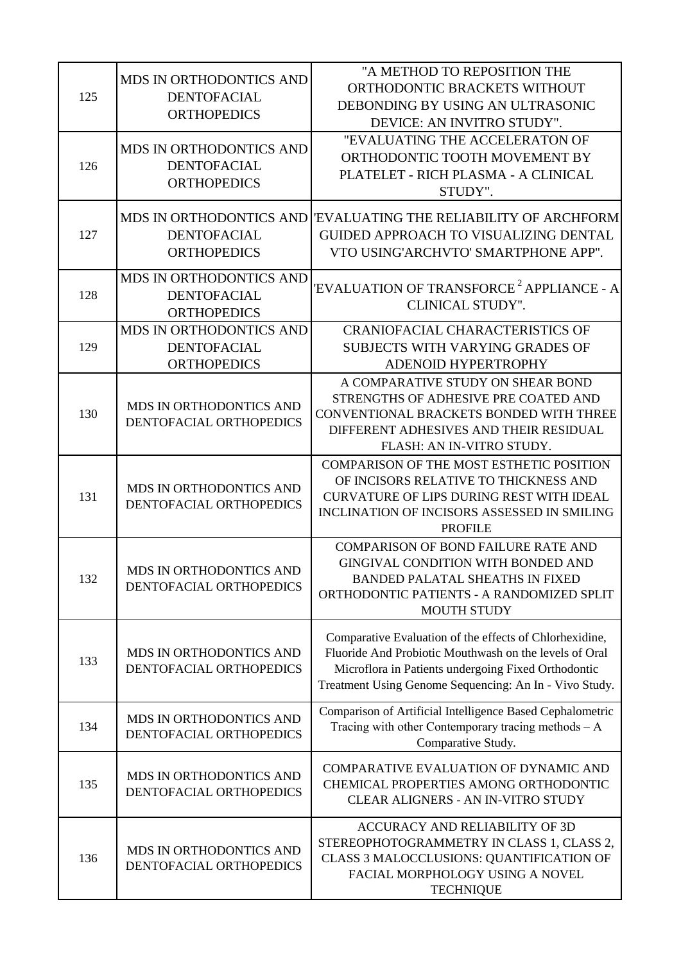| 125 | MDS IN ORTHODONTICS AND<br><b>DENTOFACIAL</b><br><b>ORTHOPEDICS</b>        | "A METHOD TO REPOSITION THE<br>ORTHODONTIC BRACKETS WITHOUT<br>DEBONDING BY USING AN ULTRASONIC<br>DEVICE: AN INVITRO STUDY".                                                                                                      |
|-----|----------------------------------------------------------------------------|------------------------------------------------------------------------------------------------------------------------------------------------------------------------------------------------------------------------------------|
| 126 | <b>MDS IN ORTHODONTICS AND</b><br><b>DENTOFACIAL</b><br><b>ORTHOPEDICS</b> | "EVALUATING THE ACCELERATON OF<br>ORTHODONTIC TOOTH MOVEMENT BY<br>PLATELET - RICH PLASMA - A CLINICAL<br>STUDY".                                                                                                                  |
| 127 | <b>DENTOFACIAL</b><br><b>ORTHOPEDICS</b>                                   | MDS IN ORTHODONTICS AND EVALUATING THE RELIABILITY OF ARCHFORM<br><b>GUIDED APPROACH TO VISUALIZING DENTAL</b><br>VTO USING'ARCHVTO' SMARTPHONE APP".                                                                              |
| 128 | <b>MDS IN ORTHODONTICS AND</b><br><b>DENTOFACIAL</b><br><b>ORTHOPEDICS</b> | 'EVALUATION OF TRANSFORCE <sup>2</sup> APPLIANCE - A<br><b>CLINICAL STUDY".</b>                                                                                                                                                    |
| 129 | MDS IN ORTHODONTICS AND<br><b>DENTOFACIAL</b><br><b>ORTHOPEDICS</b>        | <b>CRANIOFACIAL CHARACTERISTICS OF</b><br>SUBJECTS WITH VARYING GRADES OF<br><b>ADENOID HYPERTROPHY</b>                                                                                                                            |
| 130 | MDS IN ORTHODONTICS AND<br>DENTOFACIAL ORTHOPEDICS                         | A COMPARATIVE STUDY ON SHEAR BOND<br>STRENGTHS OF ADHESIVE PRE COATED AND<br>CONVENTIONAL BRACKETS BONDED WITH THREE<br>DIFFERENT ADHESIVES AND THEIR RESIDUAL<br>FLASH: AN IN-VITRO STUDY.                                        |
| 131 | MDS IN ORTHODONTICS AND<br>DENTOFACIAL ORTHOPEDICS                         | <b>COMPARISON OF THE MOST ESTHETIC POSITION</b><br>OF INCISORS RELATIVE TO THICKNESS AND<br><b>CURVATURE OF LIPS DURING REST WITH IDEAL</b><br>INCLINATION OF INCISORS ASSESSED IN SMILING<br><b>PROFILE</b>                       |
| 132 | MDS IN ORTHODONTICS AND<br>DENTOFACIAL ORTHOPEDICS                         | <b>COMPARISON OF BOND FAILURE RATE AND</b><br>GINGIVAL CONDITION WITH BONDED AND<br><b>BANDED PALATAL SHEATHS IN FIXED</b><br>ORTHODONTIC PATIENTS - A RANDOMIZED SPLIT<br><b>MOUTH STUDY</b>                                      |
| 133 | MDS IN ORTHODONTICS AND<br>DENTOFACIAL ORTHOPEDICS                         | Comparative Evaluation of the effects of Chlorhexidine,<br>Fluoride And Probiotic Mouthwash on the levels of Oral<br>Microflora in Patients undergoing Fixed Orthodontic<br>Treatment Using Genome Sequencing: An In - Vivo Study. |
| 134 | MDS IN ORTHODONTICS AND<br>DENTOFACIAL ORTHOPEDICS                         | Comparison of Artificial Intelligence Based Cephalometric<br>Tracing with other Contemporary tracing methods $-A$<br>Comparative Study.                                                                                            |
| 135 | MDS IN ORTHODONTICS AND<br>DENTOFACIAL ORTHOPEDICS                         | COMPARATIVE EVALUATION OF DYNAMIC AND<br>CHEMICAL PROPERTIES AMONG ORTHODONTIC<br>CLEAR ALIGNERS - AN IN-VITRO STUDY                                                                                                               |
| 136 | MDS IN ORTHODONTICS AND<br>DENTOFACIAL ORTHOPEDICS                         | ACCURACY AND RELIABILITY OF 3D<br>STEREOPHOTOGRAMMETRY IN CLASS 1, CLASS 2,<br>CLASS 3 MALOCCLUSIONS: QUANTIFICATION OF<br>FACIAL MORPHOLOGY USING A NOVEL<br><b>TECHNIQUE</b>                                                     |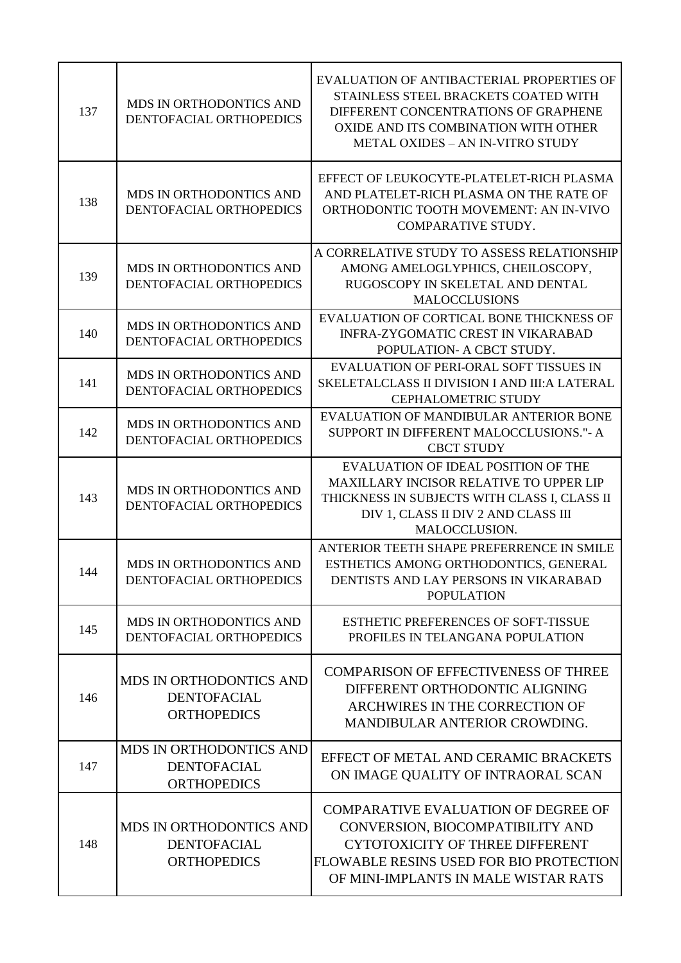| 137 | <b>MDS IN ORTHODONTICS AND</b><br>DENTOFACIAL ORTHOPEDICS                  | EVALUATION OF ANTIBACTERIAL PROPERTIES OF<br>STAINLESS STEEL BRACKETS COATED WITH<br>DIFFERENT CONCENTRATIONS OF GRAPHENE<br>OXIDE AND ITS COMBINATION WITH OTHER<br><b>METAL OXIDES - AN IN-VITRO STUDY</b> |
|-----|----------------------------------------------------------------------------|--------------------------------------------------------------------------------------------------------------------------------------------------------------------------------------------------------------|
| 138 | MDS IN ORTHODONTICS AND<br>DENTOFACIAL ORTHOPEDICS                         | EFFECT OF LEUKOCYTE-PLATELET-RICH PLASMA<br>AND PLATELET-RICH PLASMA ON THE RATE OF<br>ORTHODONTIC TOOTH MOVEMENT: AN IN-VIVO<br><b>COMPARATIVE STUDY.</b>                                                   |
| 139 | MDS IN ORTHODONTICS AND<br>DENTOFACIAL ORTHOPEDICS                         | A CORRELATIVE STUDY TO ASSESS RELATIONSHIP<br>AMONG AMELOGLYPHICS, CHEILOSCOPY,<br>RUGOSCOPY IN SKELETAL AND DENTAL<br><b>MALOCCLUSIONS</b>                                                                  |
| 140 | MDS IN ORTHODONTICS AND<br>DENTOFACIAL ORTHOPEDICS                         | EVALUATION OF CORTICAL BONE THICKNESS OF<br><b>INFRA-ZYGOMATIC CREST IN VIKARABAD</b><br>POPULATION- A CBCT STUDY.                                                                                           |
| 141 | MDS IN ORTHODONTICS AND<br>DENTOFACIAL ORTHOPEDICS                         | EVALUATION OF PERI-ORAL SOFT TISSUES IN<br><b>SKELETALCLASS II DIVISION I AND III: A LATERAL</b><br><b>CEPHALOMETRIC STUDY</b>                                                                               |
| 142 | MDS IN ORTHODONTICS AND<br>DENTOFACIAL ORTHOPEDICS                         | EVALUATION OF MANDIBULAR ANTERIOR BONE<br>SUPPORT IN DIFFERENT MALOCCLUSIONS."- A<br><b>CBCT STUDY</b>                                                                                                       |
| 143 | MDS IN ORTHODONTICS AND<br>DENTOFACIAL ORTHOPEDICS                         | EVALUATION OF IDEAL POSITION OF THE<br>MAXILLARY INCISOR RELATIVE TO UPPER LIP<br>THICKNESS IN SUBJECTS WITH CLASS I, CLASS II<br>DIV 1, CLASS II DIV 2 AND CLASS III<br>MALOCCLUSION.                       |
| 144 | MDS IN ORTHODONTICS AND<br>DENTOFACIAL ORTHOPEDICS                         | ANTERIOR TEETH SHAPE PREFERRENCE IN SMILE<br>ESTHETICS AMONG ORTHODONTICS, GENERAL<br>DENTISTS AND LAY PERSONS IN VIKARABAD<br><b>POPULATION</b>                                                             |
| 145 | <b>MDS IN ORTHODONTICS AND</b><br>DENTOFACIAL ORTHOPEDICS                  | <b>ESTHETIC PREFERENCES OF SOFT-TISSUE</b><br>PROFILES IN TELANGANA POPULATION                                                                                                                               |
| 146 | <b>MDS IN ORTHODONTICS AND</b><br><b>DENTOFACIAL</b><br><b>ORTHOPEDICS</b> | <b>COMPARISON OF EFFECTIVENESS OF THREE</b><br>DIFFERENT ORTHODONTIC ALIGNING<br>ARCHWIRES IN THE CORRECTION OF<br>MANDIBULAR ANTERIOR CROWDING.                                                             |
| 147 | MDS IN ORTHODONTICS AND<br><b>DENTOFACIAL</b><br><b>ORTHOPEDICS</b>        | EFFECT OF METAL AND CERAMIC BRACKETS<br>ON IMAGE QUALITY OF INTRAORAL SCAN                                                                                                                                   |
| 148 | <b>MDS IN ORTHODONTICS AND</b><br><b>DENTOFACIAL</b><br><b>ORTHOPEDICS</b> | <b>COMPARATIVE EVALUATION OF DEGREE OF</b><br>CONVERSION, BIOCOMPATIBILITY AND<br><b>CYTOTOXICITY OF THREE DIFFERENT</b><br>FLOWABLE RESINS USED FOR BIO PROTECTION<br>OF MINI-IMPLANTS IN MALE WISTAR RATS  |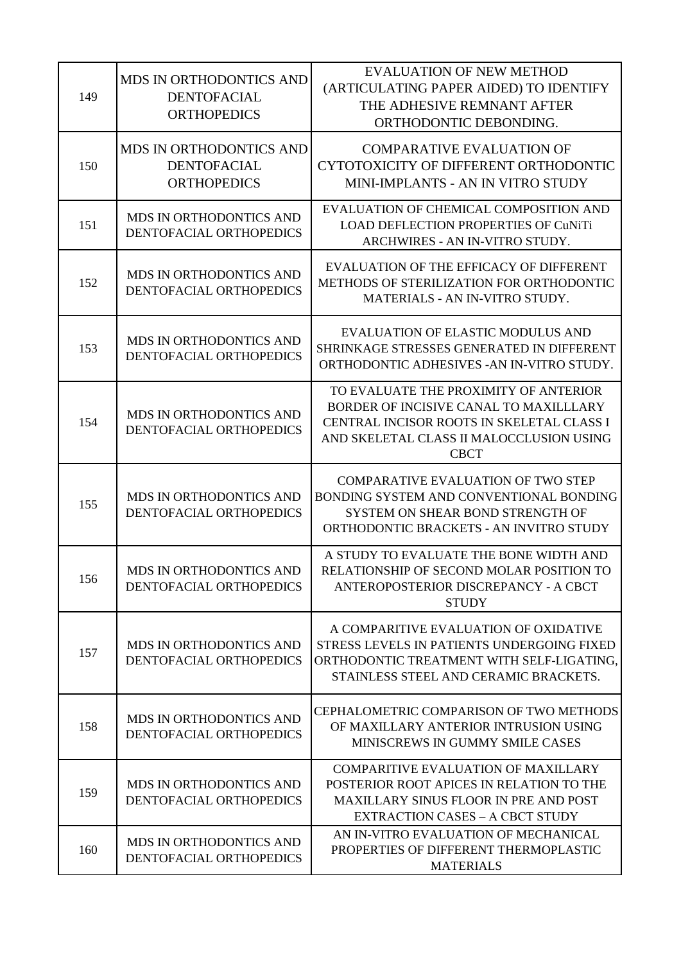| 149 | <b>MDS IN ORTHODONTICS AND</b><br><b>DENTOFACIAL</b><br><b>ORTHOPEDICS</b> | <b>EVALUATION OF NEW METHOD</b><br>(ARTICULATING PAPER AIDED) TO IDENTIFY<br>THE ADHESIVE REMNANT AFTER<br>ORTHODONTIC DEBONDING.                                                       |
|-----|----------------------------------------------------------------------------|-----------------------------------------------------------------------------------------------------------------------------------------------------------------------------------------|
| 150 | <b>MDS IN ORTHODONTICS AND</b><br><b>DENTOFACIAL</b><br><b>ORTHOPEDICS</b> | <b>COMPARATIVE EVALUATION OF</b><br>CYTOTOXICITY OF DIFFERENT ORTHODONTIC<br>MINI-IMPLANTS - AN IN VITRO STUDY                                                                          |
| 151 | MDS IN ORTHODONTICS AND<br>DENTOFACIAL ORTHOPEDICS                         | EVALUATION OF CHEMICAL COMPOSITION AND<br>LOAD DEFLECTION PROPERTIES OF CuNiTi<br>ARCHWIRES - AN IN-VITRO STUDY.                                                                        |
| 152 | MDS IN ORTHODONTICS AND<br>DENTOFACIAL ORTHOPEDICS                         | EVALUATION OF THE EFFICACY OF DIFFERENT<br>METHODS OF STERILIZATION FOR ORTHODONTIC<br>MATERIALS - AN IN-VITRO STUDY.                                                                   |
| 153 | MDS IN ORTHODONTICS AND<br>DENTOFACIAL ORTHOPEDICS                         | <b>EVALUATION OF ELASTIC MODULUS AND</b><br>SHRINKAGE STRESSES GENERATED IN DIFFERENT<br>ORTHODONTIC ADHESIVES - AN IN-VITRO STUDY.                                                     |
| 154 | MDS IN ORTHODONTICS AND<br>DENTOFACIAL ORTHOPEDICS                         | TO EVALUATE THE PROXIMITY OF ANTERIOR<br>BORDER OF INCISIVE CANAL TO MAXILLLARY<br>CENTRAL INCISOR ROOTS IN SKELETAL CLASS I<br>AND SKELETAL CLASS II MALOCCLUSION USING<br><b>CBCT</b> |
| 155 | MDS IN ORTHODONTICS AND<br>DENTOFACIAL ORTHOPEDICS                         | <b>COMPARATIVE EVALUATION OF TWO STEP</b><br>BONDING SYSTEM AND CONVENTIONAL BONDING<br>SYSTEM ON SHEAR BOND STRENGTH OF<br>ORTHODONTIC BRACKETS - AN INVITRO STUDY                     |
| 156 | MDS IN ORTHODONTICS AND<br>DENTOFACIAL ORTHOPEDICS                         | A STUDY TO EVALUATE THE BONE WIDTH AND<br>RELATIONSHIP OF SECOND MOLAR POSITION TO<br>ANTEROPOSTERIOR DISCREPANCY - A CBCT<br><b>STUDY</b>                                              |
| 157 | <b>MDS IN ORTHODONTICS AND</b><br>DENTOFACIAL ORTHOPEDICS                  | A COMPARITIVE EVALUATION OF OXIDATIVE<br>STRESS LEVELS IN PATIENTS UNDERGOING FIXED<br>ORTHODONTIC TREATMENT WITH SELF-LIGATING,<br>STAINLESS STEEL AND CERAMIC BRACKETS.               |
| 158 | MDS IN ORTHODONTICS AND<br>DENTOFACIAL ORTHOPEDICS                         | CEPHALOMETRIC COMPARISON OF TWO METHODS<br>OF MAXILLARY ANTERIOR INTRUSION USING<br>MINISCREWS IN GUMMY SMILE CASES                                                                     |
| 159 | MDS IN ORTHODONTICS AND<br>DENTOFACIAL ORTHOPEDICS                         | <b>COMPARITIVE EVALUATION OF MAXILLARY</b><br>POSTERIOR ROOT APICES IN RELATION TO THE<br><b>MAXILLARY SINUS FLOOR IN PRE AND POST</b><br><b>EXTRACTION CASES - A CBCT STUDY</b>        |
| 160 | <b>MDS IN ORTHODONTICS AND</b><br>DENTOFACIAL ORTHOPEDICS                  | AN IN-VITRO EVALUATION OF MECHANICAL<br>PROPERTIES OF DIFFERENT THERMOPLASTIC<br><b>MATERIALS</b>                                                                                       |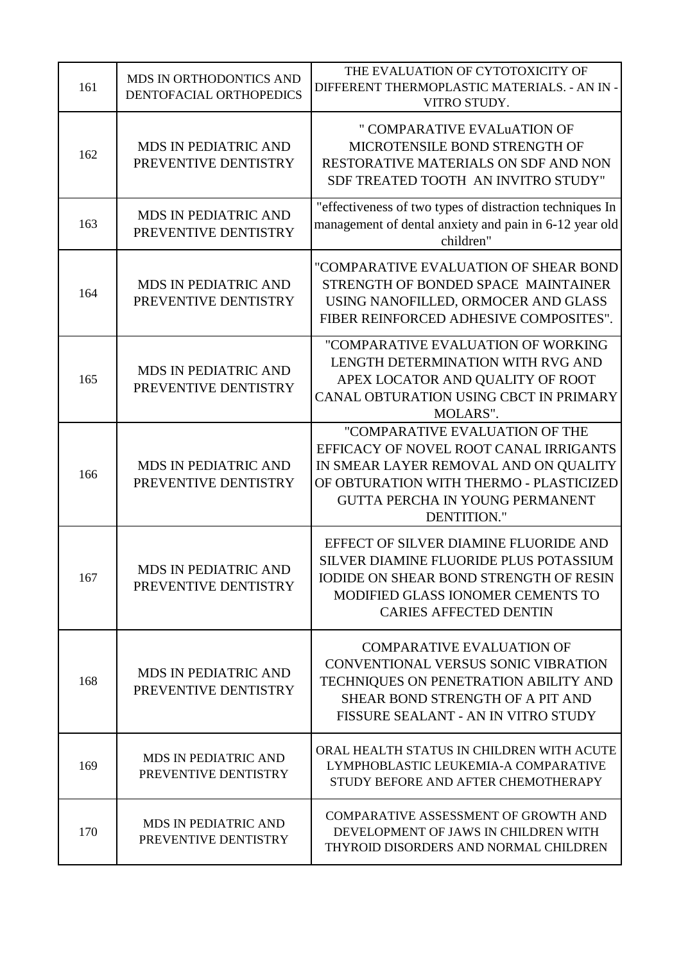| 161 | MDS IN ORTHODONTICS AND<br>DENTOFACIAL ORTHOPEDICS  | THE EVALUATION OF CYTOTOXICITY OF<br>DIFFERENT THERMOPLASTIC MATERIALS. - AN IN -<br>VITRO STUDY.                                                                                                                            |
|-----|-----------------------------------------------------|------------------------------------------------------------------------------------------------------------------------------------------------------------------------------------------------------------------------------|
| 162 | <b>MDS IN PEDIATRIC AND</b><br>PREVENTIVE DENTISTRY | " COMPARATIVE EVALUATION OF<br>MICROTENSILE BOND STRENGTH OF<br>RESTORATIVE MATERIALS ON SDF AND NON<br>SDF TREATED TOOTH AN INVITRO STUDY"                                                                                  |
| 163 | <b>MDS IN PEDIATRIC AND</b><br>PREVENTIVE DENTISTRY | "effectiveness of two types of distraction techniques In<br>management of dental anxiety and pain in 6-12 year old<br>children"                                                                                              |
| 164 | <b>MDS IN PEDIATRIC AND</b><br>PREVENTIVE DENTISTRY | "COMPARATIVE EVALUATION OF SHEAR BOND<br>STRENGTH OF BONDED SPACE MAINTAINER<br>USING NANOFILLED, ORMOCER AND GLASS<br>FIBER REINFORCED ADHESIVE COMPOSITES".                                                                |
| 165 | <b>MDS IN PEDIATRIC AND</b><br>PREVENTIVE DENTISTRY | "COMPARATIVE EVALUATION OF WORKING<br>LENGTH DETERMINATION WITH RVG AND<br>APEX LOCATOR AND QUALITY OF ROOT<br>CANAL OBTURATION USING CBCT IN PRIMARY<br>MOLARS".                                                            |
| 166 | <b>MDS IN PEDIATRIC AND</b><br>PREVENTIVE DENTISTRY | "COMPARATIVE EVALUATION OF THE<br>EFFICACY OF NOVEL ROOT CANAL IRRIGANTS<br>IN SMEAR LAYER REMOVAL AND ON QUALITY<br>OF OBTURATION WITH THERMO - PLASTICIZED<br><b>GUTTA PERCHA IN YOUNG PERMANENT</b><br><b>DENTITION."</b> |
| 167 | <b>MDS IN PEDIATRIC AND</b><br>PREVENTIVE DENTISTRY | EFFECT OF SILVER DIAMINE FLUORIDE AND<br>SILVER DIAMINE FLUORIDE PLUS POTASSIUM<br><b>IODIDE ON SHEAR BOND STRENGTH OF RESIN</b><br>MODIFIED GLASS IONOMER CEMENTS TO<br><b>CARIES AFFECTED DENTIN</b>                       |
| 168 | <b>MDS IN PEDIATRIC AND</b><br>PREVENTIVE DENTISTRY | <b>COMPARATIVE EVALUATION OF</b><br>CONVENTIONAL VERSUS SONIC VIBRATION<br>TECHNIQUES ON PENETRATION ABILITY AND<br>SHEAR BOND STRENGTH OF A PIT AND<br>FISSURE SEALANT - AN IN VITRO STUDY                                  |
| 169 | <b>MDS IN PEDIATRIC AND</b><br>PREVENTIVE DENTISTRY | ORAL HEALTH STATUS IN CHILDREN WITH ACUTE<br>LYMPHOBLASTIC LEUKEMIA-A COMPARATIVE<br>STUDY BEFORE AND AFTER CHEMOTHERAPY                                                                                                     |
| 170 | <b>MDS IN PEDIATRIC AND</b><br>PREVENTIVE DENTISTRY | COMPARATIVE ASSESSMENT OF GROWTH AND<br>DEVELOPMENT OF JAWS IN CHILDREN WITH<br>THYROID DISORDERS AND NORMAL CHILDREN                                                                                                        |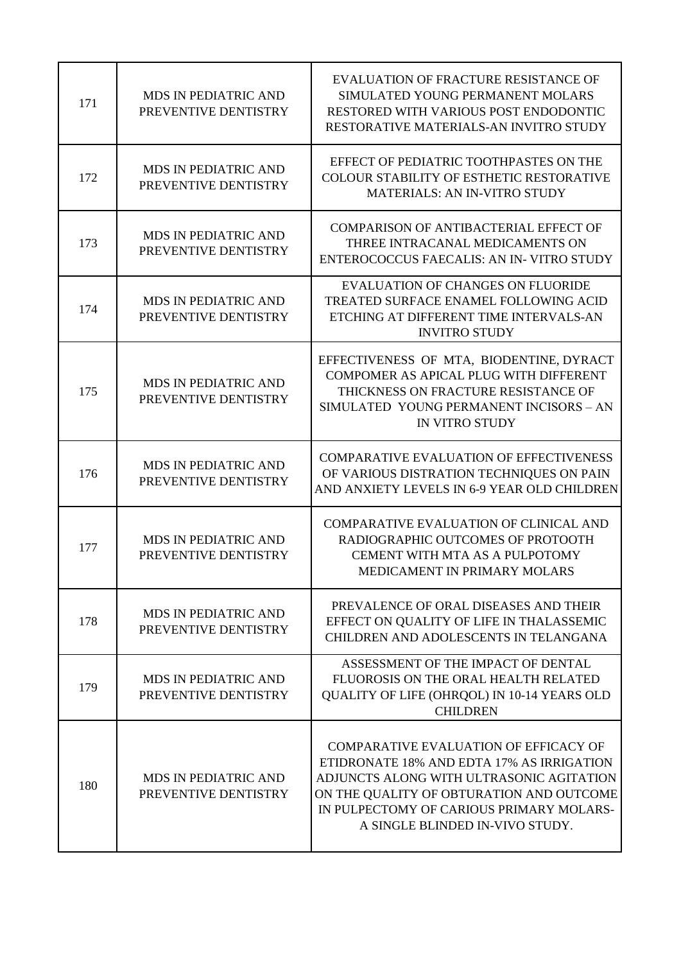| 171 | <b>MDS IN PEDIATRIC AND</b><br>PREVENTIVE DENTISTRY | EVALUATION OF FRACTURE RESISTANCE OF<br>SIMULATED YOUNG PERMANENT MOLARS<br>RESTORED WITH VARIOUS POST ENDODONTIC<br>RESTORATIVE MATERIALS-AN INVITRO STUDY                                                                                               |
|-----|-----------------------------------------------------|-----------------------------------------------------------------------------------------------------------------------------------------------------------------------------------------------------------------------------------------------------------|
| 172 | MDS IN PEDIATRIC AND<br>PREVENTIVE DENTISTRY        | EFFECT OF PEDIATRIC TOOTHPASTES ON THE<br>COLOUR STABILITY OF ESTHETIC RESTORATIVE<br><b>MATERIALS: AN IN-VITRO STUDY</b>                                                                                                                                 |
| 173 | MDS IN PEDIATRIC AND<br>PREVENTIVE DENTISTRY        | <b>COMPARISON OF ANTIBACTERIAL EFFECT OF</b><br>THREE INTRACANAL MEDICAMENTS ON<br>ENTEROCOCCUS FAECALIS: AN IN-VITRO STUDY                                                                                                                               |
| 174 | <b>MDS IN PEDIATRIC AND</b><br>PREVENTIVE DENTISTRY | <b>EVALUATION OF CHANGES ON FLUORIDE</b><br>TREATED SURFACE ENAMEL FOLLOWING ACID<br>ETCHING AT DIFFERENT TIME INTERVALS-AN<br><b>INVITRO STUDY</b>                                                                                                       |
| 175 | <b>MDS IN PEDIATRIC AND</b><br>PREVENTIVE DENTISTRY | EFFECTIVENESS OF MTA, BIODENTINE, DYRACT<br>COMPOMER AS APICAL PLUG WITH DIFFERENT<br>THICKNESS ON FRACTURE RESISTANCE OF<br>SIMULATED YOUNG PERMANENT INCISORS - AN<br><b>IN VITRO STUDY</b>                                                             |
| 176 | MDS IN PEDIATRIC AND<br>PREVENTIVE DENTISTRY        | <b>COMPARATIVE EVALUATION OF EFFECTIVENESS</b><br>OF VARIOUS DISTRATION TECHNIQUES ON PAIN<br>AND ANXIETY LEVELS IN 6-9 YEAR OLD CHILDREN                                                                                                                 |
| 177 | <b>MDS IN PEDIATRIC AND</b><br>PREVENTIVE DENTISTRY | COMPARATIVE EVALUATION OF CLINICAL AND<br>RADIOGRAPHIC OUTCOMES OF PROTOOTH<br>CEMENT WITH MTA AS A PULPOTOMY<br>MEDICAMENT IN PRIMARY MOLARS                                                                                                             |
| 178 | <b>MDS IN PEDIATRIC AND</b><br>PREVENTIVE DENTISTRY | PREVALENCE OF ORAL DISEASES AND THEIR<br>EFFECT ON QUALITY OF LIFE IN THALASSEMIC<br>CHILDREN AND ADOLESCENTS IN TELANGANA                                                                                                                                |
| 179 | <b>MDS IN PEDIATRIC AND</b><br>PREVENTIVE DENTISTRY | ASSESSMENT OF THE IMPACT OF DENTAL<br>FLUOROSIS ON THE ORAL HEALTH RELATED<br>QUALITY OF LIFE (OHRQOL) IN 10-14 YEARS OLD<br><b>CHILDREN</b>                                                                                                              |
| 180 | <b>MDS IN PEDIATRIC AND</b><br>PREVENTIVE DENTISTRY | COMPARATIVE EVALUATION OF EFFICACY OF<br>ETIDRONATE 18% AND EDTA 17% AS IRRIGATION<br>ADJUNCTS ALONG WITH ULTRASONIC AGITATION<br>ON THE QUALITY OF OBTURATION AND OUTCOME<br>IN PULPECTOMY OF CARIOUS PRIMARY MOLARS-<br>A SINGLE BLINDED IN-VIVO STUDY. |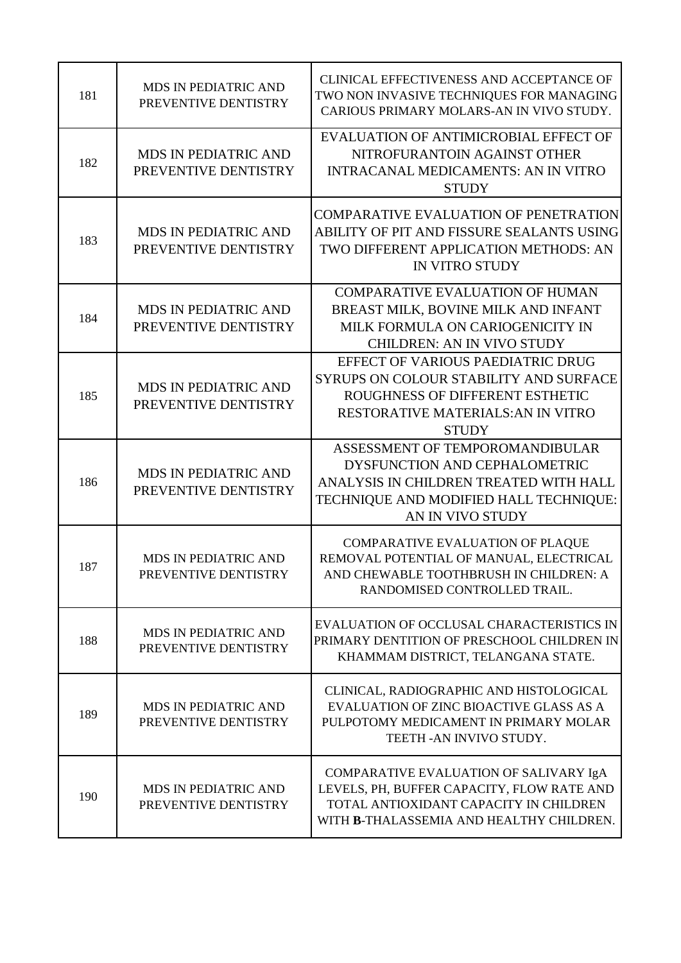| 181 | MDS IN PEDIATRIC AND<br>PREVENTIVE DENTISTRY        | CLINICAL EFFECTIVENESS AND ACCEPTANCE OF<br>TWO NON INVASIVE TECHNIQUES FOR MANAGING<br>CARIOUS PRIMARY MOLARS-AN IN VIVO STUDY.                                            |
|-----|-----------------------------------------------------|-----------------------------------------------------------------------------------------------------------------------------------------------------------------------------|
| 182 | <b>MDS IN PEDIATRIC AND</b><br>PREVENTIVE DENTISTRY | EVALUATION OF ANTIMICROBIAL EFFECT OF<br>NITROFURANTOIN AGAINST OTHER<br><b>INTRACANAL MEDICAMENTS: AN IN VITRO</b><br><b>STUDY</b>                                         |
| 183 | <b>MDS IN PEDIATRIC AND</b><br>PREVENTIVE DENTISTRY | <b>COMPARATIVE EVALUATION OF PENETRATION</b><br>ABILITY OF PIT AND FISSURE SEALANTS USING<br>TWO DIFFERENT APPLICATION METHODS: AN<br><b>IN VITRO STUDY</b>                 |
| 184 | <b>MDS IN PEDIATRIC AND</b><br>PREVENTIVE DENTISTRY | <b>COMPARATIVE EVALUATION OF HUMAN</b><br>BREAST MILK, BOVINE MILK AND INFANT<br>MILK FORMULA ON CARIOGENICITY IN<br><b>CHILDREN: AN IN VIVO STUDY</b>                      |
| 185 | <b>MDS IN PEDIATRIC AND</b><br>PREVENTIVE DENTISTRY | EFFECT OF VARIOUS PAEDIATRIC DRUG<br>SYRUPS ON COLOUR STABILITY AND SURFACE<br>ROUGHNESS OF DIFFERENT ESTHETIC<br><b>RESTORATIVE MATERIALS: AN IN VITRO</b><br><b>STUDY</b> |
| 186 | <b>MDS IN PEDIATRIC AND</b><br>PREVENTIVE DENTISTRY | ASSESSMENT OF TEMPOROMANDIBULAR<br>DYSFUNCTION AND CEPHALOMETRIC<br>ANALYSIS IN CHILDREN TREATED WITH HALL<br>TECHNIQUE AND MODIFIED HALL TECHNIQUE:<br>AN IN VIVO STUDY    |
| 187 | <b>MDS IN PEDIATRIC AND</b><br>PREVENTIVE DENTISTRY | COMPARATIVE EVALUATION OF PLAQUE<br>REMOVAL POTENTIAL OF MANUAL, ELECTRICAL<br>AND CHEWABLE TOOTHBRUSH IN CHILDREN: A<br>RANDOMISED CONTROLLED TRAIL.                       |
| 188 | MDS IN PEDIATRIC AND<br>PREVENTIVE DENTISTRY        | EVALUATION OF OCCLUSAL CHARACTERISTICS IN<br>PRIMARY DENTITION OF PRESCHOOL CHILDREN IN<br>KHAMMAM DISTRICT, TELANGANA STATE.                                               |
| 189 | <b>MDS IN PEDIATRIC AND</b><br>PREVENTIVE DENTISTRY | CLINICAL, RADIOGRAPHIC AND HISTOLOGICAL<br>EVALUATION OF ZINC BIOACTIVE GLASS AS A<br>PULPOTOMY MEDICAMENT IN PRIMARY MOLAR<br>TEETH - AN INVIVO STUDY.                     |
| 190 | <b>MDS IN PEDIATRIC AND</b><br>PREVENTIVE DENTISTRY | COMPARATIVE EVALUATION OF SALIVARY IgA<br>LEVELS, PH, BUFFER CAPACITY, FLOW RATE AND<br>TOTAL ANTIOXIDANT CAPACITY IN CHILDREN<br>WITH B-THALASSEMIA AND HEALTHY CHILDREN.  |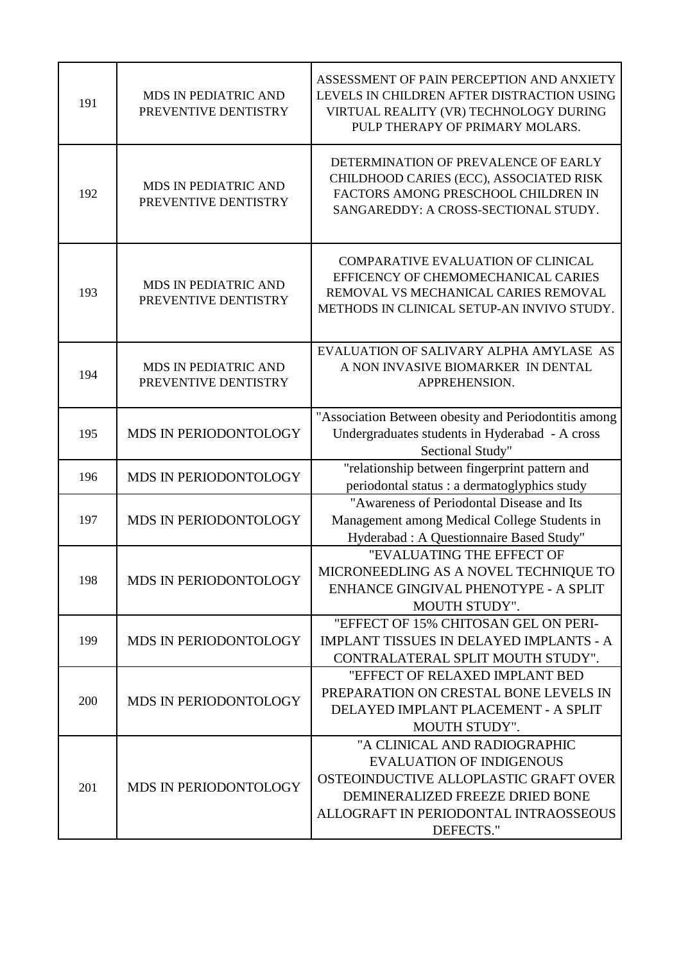| 191 | MDS IN PEDIATRIC AND<br>PREVENTIVE DENTISTRY | ASSESSMENT OF PAIN PERCEPTION AND ANXIETY<br>LEVELS IN CHILDREN AFTER DISTRACTION USING<br>VIRTUAL REALITY (VR) TECHNOLOGY DURING<br>PULP THERAPY OF PRIMARY MOLARS.                              |
|-----|----------------------------------------------|---------------------------------------------------------------------------------------------------------------------------------------------------------------------------------------------------|
| 192 | MDS IN PEDIATRIC AND<br>PREVENTIVE DENTISTRY | DETERMINATION OF PREVALENCE OF EARLY<br>CHILDHOOD CARIES (ECC), ASSOCIATED RISK<br>FACTORS AMONG PRESCHOOL CHILDREN IN<br>SANGAREDDY: A CROSS-SECTIONAL STUDY.                                    |
| 193 | MDS IN PEDIATRIC AND<br>PREVENTIVE DENTISTRY | <b>COMPARATIVE EVALUATION OF CLINICAL</b><br>EFFICENCY OF CHEMOMECHANICAL CARIES<br>REMOVAL VS MECHANICAL CARIES REMOVAL<br>METHODS IN CLINICAL SETUP-AN INVIVO STUDY.                            |
| 194 | MDS IN PEDIATRIC AND<br>PREVENTIVE DENTISTRY | EVALUATION OF SALIVARY ALPHA AMYLASE AS<br>A NON INVASIVE BIOMARKER IN DENTAL<br>APPREHENSION.                                                                                                    |
| 195 | MDS IN PERIODONTOLOGY                        | "Association Between obesity and Periodontitis among<br>Undergraduates students in Hyderabad - A cross<br>Sectional Study"                                                                        |
| 196 | MDS IN PERIODONTOLOGY                        | "relationship between fingerprint pattern and<br>periodontal status : a dermatoglyphics study                                                                                                     |
| 197 | MDS IN PERIODONTOLOGY                        | "Awareness of Periodontal Disease and Its<br>Management among Medical College Students in<br>Hyderabad : A Questionnaire Based Study"                                                             |
| 198 | MDS IN PERIODONTOLOGY                        | "EVALUATING THE EFFECT OF<br>MICRONEEDLING AS A NOVEL TECHNIQUE TO<br>ENHANCE GINGIVAL PHENOTYPE - A SPLIT<br><b>MOUTH STUDY".</b>                                                                |
| 199 | MDS IN PERIODONTOLOGY                        | "EFFECT OF 15% CHITOSAN GEL ON PERI-<br><b>IMPLANT TISSUES IN DELAYED IMPLANTS - A</b><br>CONTRALATERAL SPLIT MOUTH STUDY".                                                                       |
| 200 | MDS IN PERIODONTOLOGY                        | "EFFECT OF RELAXED IMPLANT BED<br>PREPARATION ON CRESTAL BONE LEVELS IN<br>DELAYED IMPLANT PLACEMENT - A SPLIT<br>MOUTH STUDY".                                                                   |
| 201 | MDS IN PERIODONTOLOGY                        | "A CLINICAL AND RADIOGRAPHIC<br><b>EVALUATION OF INDIGENOUS</b><br>OSTEOINDUCTIVE ALLOPLASTIC GRAFT OVER<br>DEMINERALIZED FREEZE DRIED BONE<br>ALLOGRAFT IN PERIODONTAL INTRAOSSEOUS<br>DEFECTS." |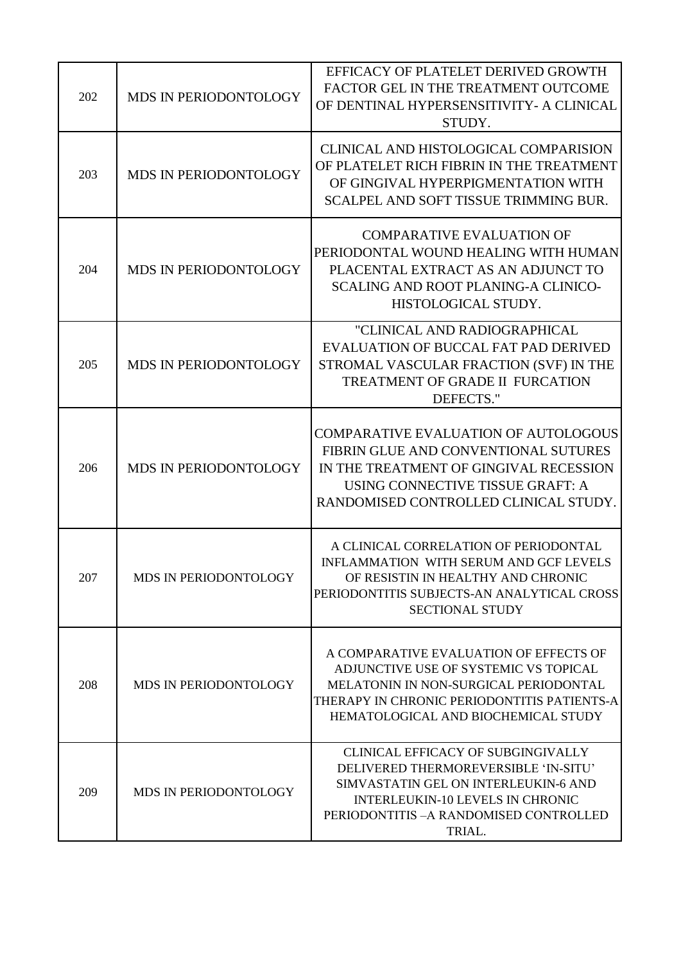| 202 | MDS IN PERIODONTOLOGY        | EFFICACY OF PLATELET DERIVED GROWTH<br>FACTOR GEL IN THE TREATMENT OUTCOME<br>OF DENTINAL HYPERSENSITIVITY- A CLINICAL<br>STUDY.                                                                                   |
|-----|------------------------------|--------------------------------------------------------------------------------------------------------------------------------------------------------------------------------------------------------------------|
| 203 | MDS IN PERIODONTOLOGY        | CLINICAL AND HISTOLOGICAL COMPARISION<br>OF PLATELET RICH FIBRIN IN THE TREATMENT<br>OF GINGIVAL HYPERPIGMENTATION WITH<br>SCALPEL AND SOFT TISSUE TRIMMING BUR.                                                   |
| 204 | MDS IN PERIODONTOLOGY        | <b>COMPARATIVE EVALUATION OF</b><br>PERIODONTAL WOUND HEALING WITH HUMAN<br>PLACENTAL EXTRACT AS AN ADJUNCT TO<br>SCALING AND ROOT PLANING-A CLINICO-<br>HISTOLOGICAL STUDY.                                       |
| 205 | MDS IN PERIODONTOLOGY        | "CLINICAL AND RADIOGRAPHICAL<br>EVALUATION OF BUCCAL FAT PAD DERIVED<br>STROMAL VASCULAR FRACTION (SVF) IN THE<br>TREATMENT OF GRADE II FURCATION<br>DEFECTS."                                                     |
| 206 | MDS IN PERIODONTOLOGY        | <b>COMPARATIVE EVALUATION OF AUTOLOGOUS</b><br>FIBRIN GLUE AND CONVENTIONAL SUTURES<br>IN THE TREATMENT OF GINGIVAL RECESSION<br>USING CONNECTIVE TISSUE GRAFT: A<br>RANDOMISED CONTROLLED CLINICAL STUDY.         |
| 207 | <b>MDS IN PERIODONTOLOGY</b> | A CLINICAL CORRELATION OF PERIODONTAL<br>INFLAMMATION WITH SERUM AND GCF LEVELS<br>OF RESISTIN IN HEALTHY AND CHRONIC<br>PERIODONTITIS SUBJECTS-AN ANALYTICAL CROSS<br><b>SECTIONAL STUDY</b>                      |
| 208 | <b>MDS IN PERIODONTOLOGY</b> | A COMPARATIVE EVALUATION OF EFFECTS OF<br>ADJUNCTIVE USE OF SYSTEMIC VS TOPICAL<br>MELATONIN IN NON-SURGICAL PERIODONTAL<br>THERAPY IN CHRONIC PERIODONTITIS PATIENTS-A<br>HEMATOLOGICAL AND BIOCHEMICAL STUDY     |
| 209 | MDS IN PERIODONTOLOGY        | CLINICAL EFFICACY OF SUBGINGIVALLY<br>DELIVERED THERMOREVERSIBLE 'IN-SITU'<br>SIMVASTATIN GEL ON INTERLEUKIN-6 AND<br><b>INTERLEUKIN-10 LEVELS IN CHRONIC</b><br>PERIODONTITIS - A RANDOMISED CONTROLLED<br>TRIAL. |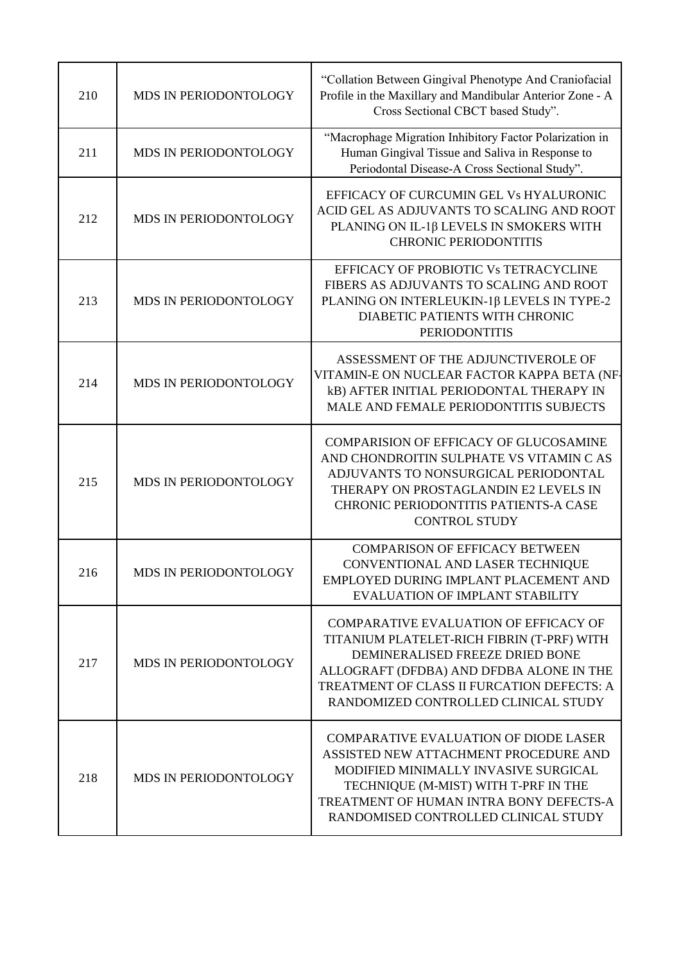| 210 | MDS IN PERIODONTOLOGY        | "Collation Between Gingival Phenotype And Craniofacial<br>Profile in the Maxillary and Mandibular Anterior Zone - A<br>Cross Sectional CBCT based Study".                                                                                                       |
|-----|------------------------------|-----------------------------------------------------------------------------------------------------------------------------------------------------------------------------------------------------------------------------------------------------------------|
| 211 | MDS IN PERIODONTOLOGY        | "Macrophage Migration Inhibitory Factor Polarization in<br>Human Gingival Tissue and Saliva in Response to<br>Periodontal Disease-A Cross Sectional Study".                                                                                                     |
| 212 | MDS IN PERIODONTOLOGY        | EFFICACY OF CURCUMIN GEL Vs HYALURONIC<br>ACID GEL AS ADJUVANTS TO SCALING AND ROOT<br>PLANING ON IL-1β LEVELS IN SMOKERS WITH<br><b>CHRONIC PERIODONTITIS</b>                                                                                                  |
| 213 | MDS IN PERIODONTOLOGY        | EFFICACY OF PROBIOTIC Vs TETRACYCLINE<br>FIBERS AS ADJUVANTS TO SCALING AND ROOT<br>PLANING ON INTERLEUKIN-1β LEVELS IN TYPE-2<br>DIABETIC PATIENTS WITH CHRONIC<br><b>PERIODONTITIS</b>                                                                        |
| 214 | MDS IN PERIODONTOLOGY        | ASSESSMENT OF THE ADJUNCTIVEROLE OF<br>VITAMIN-E ON NUCLEAR FACTOR KAPPA BETA (NF-<br>kB) AFTER INITIAL PERIODONTAL THERAPY IN<br>MALE AND FEMALE PERIODONTITIS SUBJECTS                                                                                        |
| 215 | MDS IN PERIODONTOLOGY        | <b>COMPARISION OF EFFICACY OF GLUCOSAMINE</b><br>AND CHONDROITIN SULPHATE VS VITAMIN C AS<br>ADJUVANTS TO NONSURGICAL PERIODONTAL<br>THERAPY ON PROSTAGLANDIN E2 LEVELS IN<br>CHRONIC PERIODONTITIS PATIENTS-A CASE<br><b>CONTROL STUDY</b>                     |
| 216 | <b>MDS IN PERIODONTOLOGY</b> | <b>COMPARISON OF EFFICACY BETWEEN</b><br>CONVENTIONAL AND LASER TECHNIQUE<br>EMPLOYED DURING IMPLANT PLACEMENT AND<br><b>EVALUATION OF IMPLANT STABILITY</b>                                                                                                    |
| 217 | MDS IN PERIODONTOLOGY        | <b>COMPARATIVE EVALUATION OF EFFICACY OF</b><br>TITANIUM PLATELET-RICH FIBRIN (T-PRF) WITH<br>DEMINERALISED FREEZE DRIED BONE<br>ALLOGRAFT (DFDBA) AND DFDBA ALONE IN THE<br>TREATMENT OF CLASS II FURCATION DEFECTS: A<br>RANDOMIZED CONTROLLED CLINICAL STUDY |
| 218 | MDS IN PERIODONTOLOGY        | <b>COMPARATIVE EVALUATION OF DIODE LASER</b><br>ASSISTED NEW ATTACHMENT PROCEDURE AND<br>MODIFIED MINIMALLY INVASIVE SURGICAL<br>TECHNIQUE (M-MIST) WITH T-PRF IN THE<br>TREATMENT OF HUMAN INTRA BONY DEFECTS-A<br>RANDOMISED CONTROLLED CLINICAL STUDY        |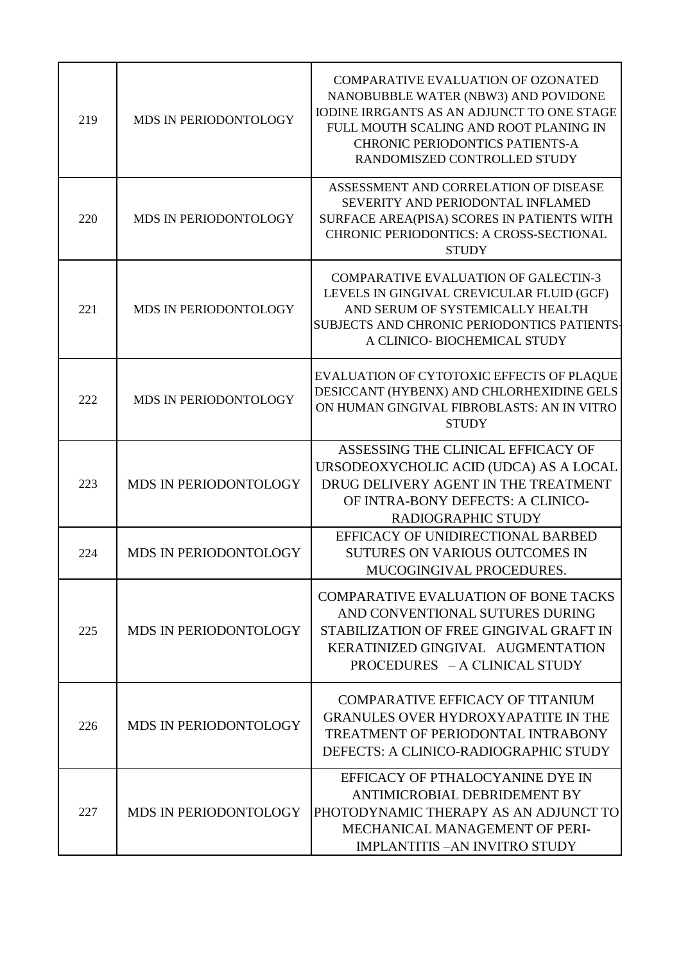| 219 | MDS IN PERIODONTOLOGY        | <b>COMPARATIVE EVALUATION OF OZONATED</b><br>NANOBUBBLE WATER (NBW3) AND POVIDONE<br><b>IODINE IRRGANTS AS AN ADJUNCT TO ONE STAGE</b><br>FULL MOUTH SCALING AND ROOT PLANING IN<br><b>CHRONIC PERIODONTICS PATIENTS-A</b><br>RANDOMISZED CONTROLLED STUDY |
|-----|------------------------------|------------------------------------------------------------------------------------------------------------------------------------------------------------------------------------------------------------------------------------------------------------|
| 220 | MDS IN PERIODONTOLOGY        | ASSESSMENT AND CORRELATION OF DISEASE<br>SEVERITY AND PERIODONTAL INFLAMED<br>SURFACE AREA(PISA) SCORES IN PATIENTS WITH<br><b>CHRONIC PERIODONTICS: A CROSS-SECTIONAL</b><br><b>STUDY</b>                                                                 |
| 221 | MDS IN PERIODONTOLOGY        | <b>COMPARATIVE EVALUATION OF GALECTIN-3</b><br>LEVELS IN GINGIVAL CREVICULAR FLUID (GCF)<br>AND SERUM OF SYSTEMICALLY HEALTH<br>SUBJECTS AND CHRONIC PERIODONTICS PATIENTS-<br>A CLINICO- BIOCHEMICAL STUDY                                                |
| 222 | MDS IN PERIODONTOLOGY        | EVALUATION OF CYTOTOXIC EFFECTS OF PLAQUE<br>DESICCANT (HYBENX) AND CHLORHEXIDINE GELS<br>ON HUMAN GINGIVAL FIBROBLASTS: AN IN VITRO<br><b>STUDY</b>                                                                                                       |
| 223 | MDS IN PERIODONTOLOGY        | ASSESSING THE CLINICAL EFFICACY OF<br>URSODEOXYCHOLIC ACID (UDCA) AS A LOCAL<br>DRUG DELIVERY AGENT IN THE TREATMENT<br>OF INTRA-BONY DEFECTS: A CLINICO-<br>RADIOGRAPHIC STUDY                                                                            |
| 224 | MDS IN PERIODONTOLOGY        | EFFICACY OF UNIDIRECTIONAL BARBED<br><b>SUTURES ON VARIOUS OUTCOMES IN</b><br>MUCOGINGIVAL PROCEDURES.                                                                                                                                                     |
| 225 | MDS IN PERIODONTOLOGY        | <b>COMPARATIVE EVALUATION OF BONE TACKS</b><br>AND CONVENTIONAL SUTURES DURING<br>STABILIZATION OF FREE GINGIVAL GRAFT IN<br>KERATINIZED GINGIVAL AUGMENTATION<br>PROCEDURES - A CLINICAL STUDY                                                            |
| 226 | <b>MDS IN PERIODONTOLOGY</b> | <b>COMPARATIVE EFFICACY OF TITANIUM</b><br><b>GRANULES OVER HYDROXYAPATITE IN THE</b><br>TREATMENT OF PERIODONTAL INTRABONY<br>DEFECTS: A CLINICO-RADIOGRAPHIC STUDY                                                                                       |
| 227 | MDS IN PERIODONTOLOGY        | EFFICACY OF PTHALOCYANINE DYE IN<br>ANTIMICROBIAL DEBRIDEMENT BY<br>PHOTODYNAMIC THERAPY AS AN ADJUNCT TO<br>MECHANICAL MANAGEMENT OF PERI-<br><b>IMPLANTITIS -AN INVITRO STUDY</b>                                                                        |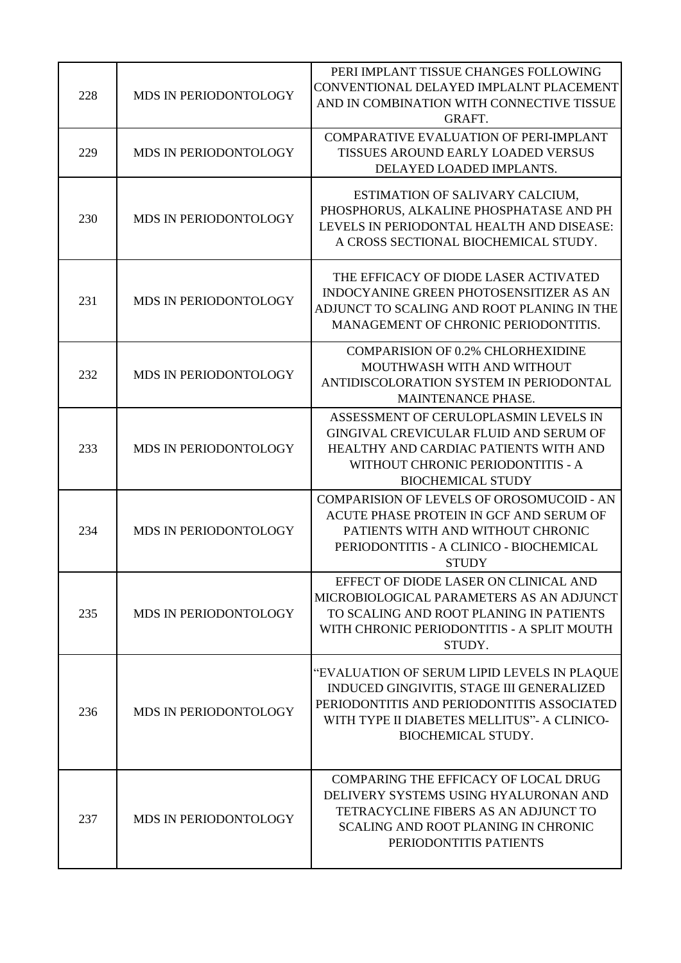| 228 | MDS IN PERIODONTOLOGY        | PERI IMPLANT TISSUE CHANGES FOLLOWING<br>CONVENTIONAL DELAYED IMPLALNT PLACEMENT<br>AND IN COMBINATION WITH CONNECTIVE TISSUE<br>GRAFT.                                                                             |
|-----|------------------------------|---------------------------------------------------------------------------------------------------------------------------------------------------------------------------------------------------------------------|
| 229 | MDS IN PERIODONTOLOGY        | <b>COMPARATIVE EVALUATION OF PERI-IMPLANT</b><br>TISSUES AROUND EARLY LOADED VERSUS<br>DELAYED LOADED IMPLANTS.                                                                                                     |
| 230 | MDS IN PERIODONTOLOGY        | ESTIMATION OF SALIVARY CALCIUM,<br>PHOSPHORUS, ALKALINE PHOSPHATASE AND PH<br>LEVELS IN PERIODONTAL HEALTH AND DISEASE:<br>A CROSS SECTIONAL BIOCHEMICAL STUDY.                                                     |
| 231 | MDS IN PERIODONTOLOGY        | THE EFFICACY OF DIODE LASER ACTIVATED<br><b>INDOCYANINE GREEN PHOTOSENSITIZER AS AN</b><br>ADJUNCT TO SCALING AND ROOT PLANING IN THE<br>MANAGEMENT OF CHRONIC PERIODONTITIS.                                       |
| 232 | MDS IN PERIODONTOLOGY        | <b>COMPARISION OF 0.2% CHLORHEXIDINE</b><br>MOUTHWASH WITH AND WITHOUT<br>ANTIDISCOLORATION SYSTEM IN PERIODONTAL<br>MAINTENANCE PHASE.                                                                             |
| 233 | MDS IN PERIODONTOLOGY        | ASSESSMENT OF CERULOPLASMIN LEVELS IN<br>GINGIVAL CREVICULAR FLUID AND SERUM OF<br>HEALTHY AND CARDIAC PATIENTS WITH AND<br>WITHOUT CHRONIC PERIODONTITIS - A<br><b>BIOCHEMICAL STUDY</b>                           |
| 234 | <b>MDS IN PERIODONTOLOGY</b> | <b>COMPARISION OF LEVELS OF OROSOMUCOID - AN</b><br>ACUTE PHASE PROTEIN IN GCF AND SERUM OF<br>PATIENTS WITH AND WITHOUT CHRONIC<br>PERIODONTITIS - A CLINICO - BIOCHEMICAL<br><b>STUDY</b>                         |
| 235 | MDS IN PERIODONTOLOGY        | EFFECT OF DIODE LASER ON CLINICAL AND<br>MICROBIOLOGICAL PARAMETERS AS AN ADJUNCT<br>TO SCALING AND ROOT PLANING IN PATIENTS<br>WITH CHRONIC PERIODONTITIS - A SPLIT MOUTH<br>STUDY.                                |
| 236 | MDS IN PERIODONTOLOGY        | "EVALUATION OF SERUM LIPID LEVELS IN PLAQUE<br>INDUCED GINGIVITIS, STAGE III GENERALIZED<br>PERIODONTITIS AND PERIODONTITIS ASSOCIATED<br>WITH TYPE II DIABETES MELLITUS" - A CLINICO-<br><b>BIOCHEMICAL STUDY.</b> |
| 237 | MDS IN PERIODONTOLOGY        | <b>COMPARING THE EFFICACY OF LOCAL DRUG</b><br>DELIVERY SYSTEMS USING HYALURONAN AND<br>TETRACYCLINE FIBERS AS AN ADJUNCT TO<br><b>SCALING AND ROOT PLANING IN CHRONIC</b><br>PERIODONTITIS PATIENTS                |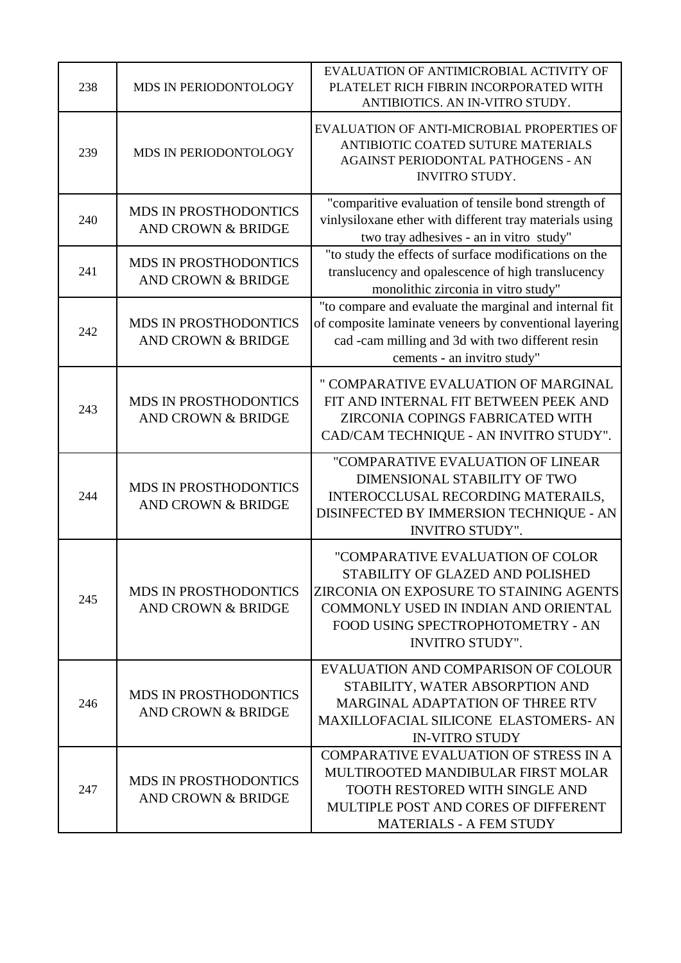| 238 | MDS IN PERIODONTOLOGY                                         | EVALUATION OF ANTIMICROBIAL ACTIVITY OF<br>PLATELET RICH FIBRIN INCORPORATED WITH<br>ANTIBIOTICS. AN IN-VITRO STUDY.                                                                                                   |
|-----|---------------------------------------------------------------|------------------------------------------------------------------------------------------------------------------------------------------------------------------------------------------------------------------------|
| 239 | MDS IN PERIODONTOLOGY                                         | EVALUATION OF ANTI-MICROBIAL PROPERTIES OF<br>ANTIBIOTIC COATED SUTURE MATERIALS<br>AGAINST PERIODONTAL PATHOGENS - AN<br><b>INVITRO STUDY.</b>                                                                        |
| 240 | <b>MDS IN PROSTHODONTICS</b><br><b>AND CROWN &amp; BRIDGE</b> | "comparitive evaluation of tensile bond strength of<br>vinlysiloxane ether with different tray materials using<br>two tray adhesives - an in vitro study"                                                              |
| 241 | <b>MDS IN PROSTHODONTICS</b><br><b>AND CROWN &amp; BRIDGE</b> | "to study the effects of surface modifications on the<br>translucency and opalescence of high translucency<br>monolithic zirconia in vitro study"                                                                      |
| 242 | MDS IN PROSTHODONTICS<br><b>AND CROWN &amp; BRIDGE</b>        | "to compare and evaluate the marginal and internal fit<br>of composite laminate veneers by conventional layering<br>cad -cam milling and 3d with two different resin<br>cements - an invitro study"                    |
| 243 | <b>MDS IN PROSTHODONTICS</b><br><b>AND CROWN &amp; BRIDGE</b> | " COMPARATIVE EVALUATION OF MARGINAL<br>FIT AND INTERNAL FIT BETWEEN PEEK AND<br>ZIRCONIA COPINGS FABRICATED WITH<br>CAD/CAM TECHNIQUE - AN INVITRO STUDY".                                                            |
| 244 | MDS IN PROSTHODONTICS<br><b>AND CROWN &amp; BRIDGE</b>        | "COMPARATIVE EVALUATION OF LINEAR<br>DIMENSIONAL STABILITY OF TWO<br>INTEROCCLUSAL RECORDING MATERAILS,<br>DISINFECTED BY IMMERSION TECHNIQUE - AN<br><b>INVITRO STUDY".</b>                                           |
| 245 | <b>MDS IN PROSTHODONTICS</b><br>AND CROWN & BRIDGE            | "COMPARATIVE EVALUATION OF COLOR<br>STABILITY OF GLAZED AND POLISHED<br>ZIRCONIA ON EXPOSURE TO STAINING AGENTS<br>COMMONLY USED IN INDIAN AND ORIENTAL<br>FOOD USING SPECTROPHOTOMETRY - AN<br><b>INVITRO STUDY".</b> |
| 246 | <b>MDS IN PROSTHODONTICS</b><br><b>AND CROWN &amp; BRIDGE</b> | EVALUATION AND COMPARISON OF COLOUR<br>STABILITY, WATER ABSORPTION AND<br><b>MARGINAL ADAPTATION OF THREE RTV</b><br><b>MAXILLOFACIAL SILICONE ELASTOMERS- AN</b><br><b>IN-VITRO STUDY</b>                             |
| 247 | <b>MDS IN PROSTHODONTICS</b><br>AND CROWN & BRIDGE            | <b>COMPARATIVE EVALUATION OF STRESS IN A</b><br>MULTIROOTED MANDIBULAR FIRST MOLAR<br><b>TOOTH RESTORED WITH SINGLE AND</b><br>MULTIPLE POST AND CORES OF DIFFERENT<br><b>MATERIALS - A FEM STUDY</b>                  |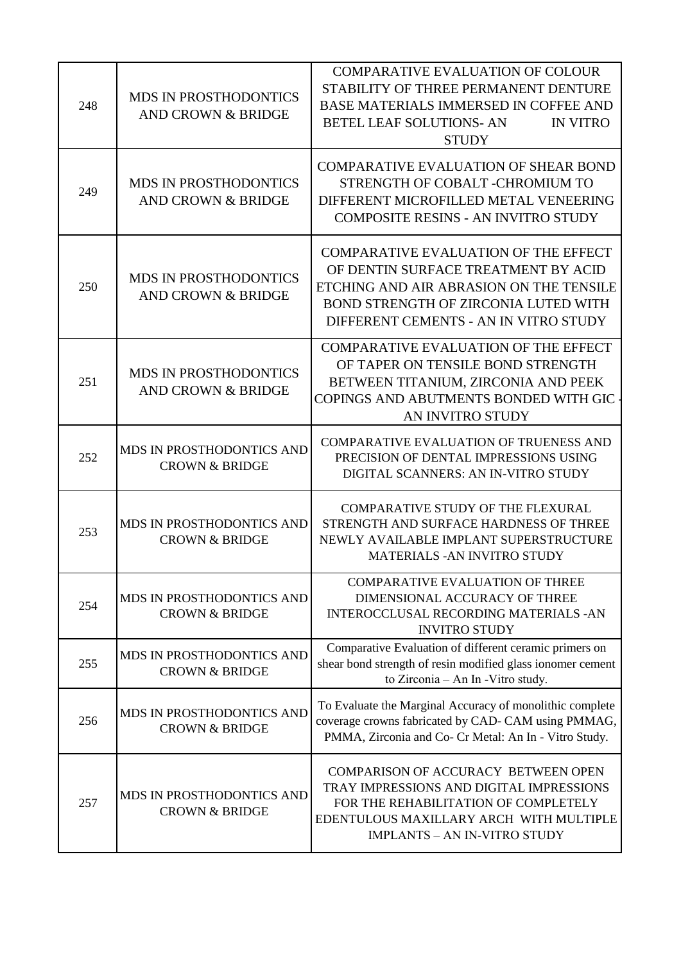| 248 | <b>MDS IN PROSTHODONTICS</b><br><b>AND CROWN &amp; BRIDGE</b> | <b>COMPARATIVE EVALUATION OF COLOUR</b><br>STABILITY OF THREE PERMANENT DENTURE<br><b>BASE MATERIALS IMMERSED IN COFFEE AND</b><br><b>BETEL LEAF SOLUTIONS- AN</b><br><b>IN VITRO</b><br><b>STUDY</b>            |
|-----|---------------------------------------------------------------|------------------------------------------------------------------------------------------------------------------------------------------------------------------------------------------------------------------|
| 249 | <b>MDS IN PROSTHODONTICS</b><br>AND CROWN & BRIDGE            | <b>COMPARATIVE EVALUATION OF SHEAR BOND</b><br>STRENGTH OF COBALT -CHROMIUM TO<br>DIFFERENT MICROFILLED METAL VENEERING<br><b>COMPOSITE RESINS - AN INVITRO STUDY</b>                                            |
| 250 | <b>MDS IN PROSTHODONTICS</b><br><b>AND CROWN &amp; BRIDGE</b> | <b>COMPARATIVE EVALUATION OF THE EFFECT</b><br>OF DENTIN SURFACE TREATMENT BY ACID<br>ETCHING AND AIR ABRASION ON THE TENSILE<br>BOND STRENGTH OF ZIRCONIA LUTED WITH<br>DIFFERENT CEMENTS - AN IN VITRO STUDY   |
| 251 | <b>MDS IN PROSTHODONTICS</b><br>AND CROWN & BRIDGE            | <b>COMPARATIVE EVALUATION OF THE EFFECT</b><br>OF TAPER ON TENSILE BOND STRENGTH<br>BETWEEN TITANIUM, ZIRCONIA AND PEEK<br>COPINGS AND ABUTMENTS BONDED WITH GIC<br>AN INVITRO STUDY                             |
| 252 | MDS IN PROSTHODONTICS AND<br><b>CROWN &amp; BRIDGE</b>        | <b>COMPARATIVE EVALUATION OF TRUENESS AND</b><br>PRECISION OF DENTAL IMPRESSIONS USING<br>DIGITAL SCANNERS: AN IN-VITRO STUDY                                                                                    |
| 253 | MDS IN PROSTHODONTICS AND<br><b>CROWN &amp; BRIDGE</b>        | <b>COMPARATIVE STUDY OF THE FLEXURAL</b><br>STRENGTH AND SURFACE HARDNESS OF THREE<br>NEWLY AVAILABLE IMPLANT SUPERSTRUCTURE<br><b>MATERIALS - AN INVITRO STUDY</b>                                              |
| 254 | MDS IN PROSTHODONTICS AND<br><b>CROWN &amp; BRIDGE</b>        | <b>COMPARATIVE EVALUATION OF THREE</b><br>DIMENSIONAL ACCURACY OF THREE<br><b>INTEROCCLUSAL RECORDING MATERIALS -AN</b><br><b>INVITRO STUDY</b>                                                                  |
| 255 | MDS IN PROSTHODONTICS AND<br><b>CROWN &amp; BRIDGE</b>        | Comparative Evaluation of different ceramic primers on<br>shear bond strength of resin modified glass ionomer cement<br>to Zirconia - An In - Vitro study.                                                       |
| 256 | MDS IN PROSTHODONTICS AND<br><b>CROWN &amp; BRIDGE</b>        | To Evaluate the Marginal Accuracy of monolithic complete<br>coverage crowns fabricated by CAD-CAM using PMMAG,<br>PMMA, Zirconia and Co- Cr Metal: An In - Vitro Study.                                          |
| 257 | MDS IN PROSTHODONTICS AND<br><b>CROWN &amp; BRIDGE</b>        | <b>COMPARISON OF ACCURACY BETWEEN OPEN</b><br>TRAY IMPRESSIONS AND DIGITAL IMPRESSIONS<br>FOR THE REHABILITATION OF COMPLETELY<br>EDENTULOUS MAXILLARY ARCH WITH MULTIPLE<br><b>IMPLANTS - AN IN-VITRO STUDY</b> |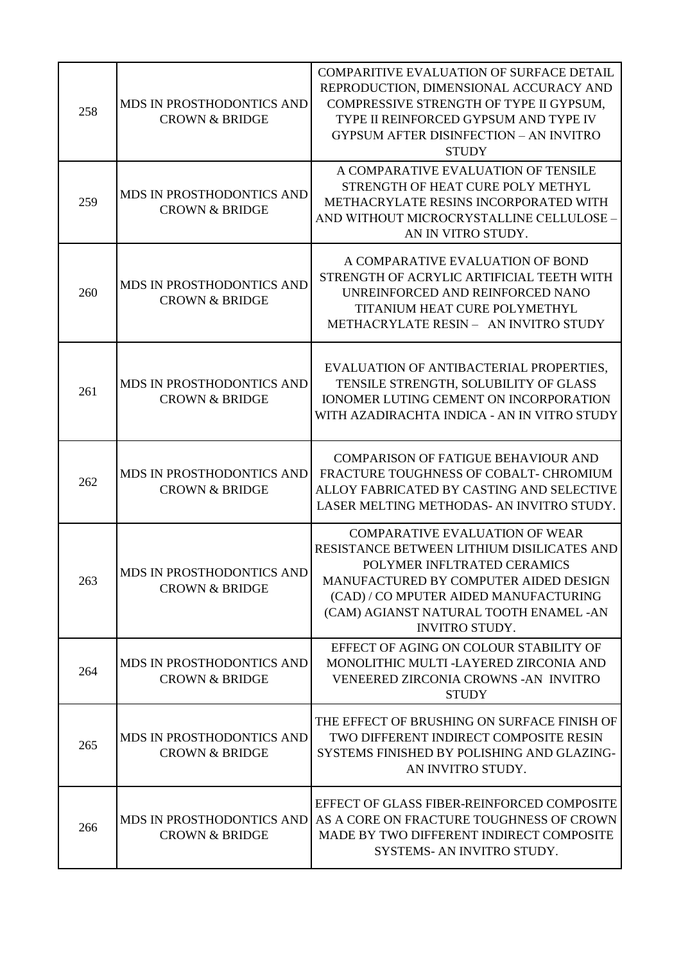| 258 | MDS IN PROSTHODONTICS AND<br><b>CROWN &amp; BRIDGE</b>        | <b>COMPARITIVE EVALUATION OF SURFACE DETAIL</b><br>REPRODUCTION, DIMENSIONAL ACCURACY AND<br>COMPRESSIVE STRENGTH OF TYPE II GYPSUM,<br>TYPE II REINFORCED GYPSUM AND TYPE IV<br><b>GYPSUM AFTER DISINFECTION - AN INVITRO</b><br><b>STUDY</b>                          |
|-----|---------------------------------------------------------------|-------------------------------------------------------------------------------------------------------------------------------------------------------------------------------------------------------------------------------------------------------------------------|
| 259 | MDS IN PROSTHODONTICS AND<br><b>CROWN &amp; BRIDGE</b>        | A COMPARATIVE EVALUATION OF TENSILE<br>STRENGTH OF HEAT CURE POLY METHYL<br>METHACRYLATE RESINS INCORPORATED WITH<br>AND WITHOUT MICROCRYSTALLINE CELLULOSE -<br>AN IN VITRO STUDY.                                                                                     |
| 260 | <b>MDS IN PROSTHODONTICS AND</b><br><b>CROWN &amp; BRIDGE</b> | A COMPARATIVE EVALUATION OF BOND<br>STRENGTH OF ACRYLIC ARTIFICIAL TEETH WITH<br>UNREINFORCED AND REINFORCED NANO<br><b>TITANIUM HEAT CURE POLYMETHYL</b><br>METHACRYLATE RESIN - AN INVITRO STUDY                                                                      |
| 261 | MDS IN PROSTHODONTICS AND<br><b>CROWN &amp; BRIDGE</b>        | EVALUATION OF ANTIBACTERIAL PROPERTIES,<br>TENSILE STRENGTH, SOLUBILITY OF GLASS<br><b>IONOMER LUTING CEMENT ON INCORPORATION</b><br>WITH AZADIRACHTA INDICA - AN IN VITRO STUDY                                                                                        |
| 262 | MDS IN PROSTHODONTICS AND<br><b>CROWN &amp; BRIDGE</b>        | <b>COMPARISON OF FATIGUE BEHAVIOUR AND</b><br>FRACTURE TOUGHNESS OF COBALT- CHROMIUM<br>ALLOY FABRICATED BY CASTING AND SELECTIVE<br>LASER MELTING METHODAS- AN INVITRO STUDY.                                                                                          |
| 263 | MDS IN PROSTHODONTICS AND<br><b>CROWN &amp; BRIDGE</b>        | <b>COMPARATIVE EVALUATION OF WEAR</b><br>RESISTANCE BETWEEN LITHIUM DISILICATES AND<br>POLYMER INFLTRATED CERAMICS<br>MANUFACTURED BY COMPUTER AIDED DESIGN<br>(CAD) / CO MPUTER AIDED MANUFACTURING<br>(CAM) AGIANST NATURAL TOOTH ENAMEL -AN<br><b>INVITRO STUDY.</b> |
| 264 | MDS IN PROSTHODONTICS AND<br><b>CROWN &amp; BRIDGE</b>        | EFFECT OF AGING ON COLOUR STABILITY OF<br>MONOLITHIC MULTI -LAYERED ZIRCONIA AND<br>VENEERED ZIRCONIA CROWNS - AN INVITRO<br><b>STUDY</b>                                                                                                                               |
| 265 | MDS IN PROSTHODONTICS AND<br><b>CROWN &amp; BRIDGE</b>        | THE EFFECT OF BRUSHING ON SURFACE FINISH OF<br>TWO DIFFERENT INDIRECT COMPOSITE RESIN<br>SYSTEMS FINISHED BY POLISHING AND GLAZING-<br>AN INVITRO STUDY.                                                                                                                |
| 266 | MDS IN PROSTHODONTICS AND<br><b>CROWN &amp; BRIDGE</b>        | EFFECT OF GLASS FIBER-REINFORCED COMPOSITE<br>AS A CORE ON FRACTURE TOUGHNESS OF CROWN<br>MADE BY TWO DIFFERENT INDIRECT COMPOSITE<br>SYSTEMS- AN INVITRO STUDY.                                                                                                        |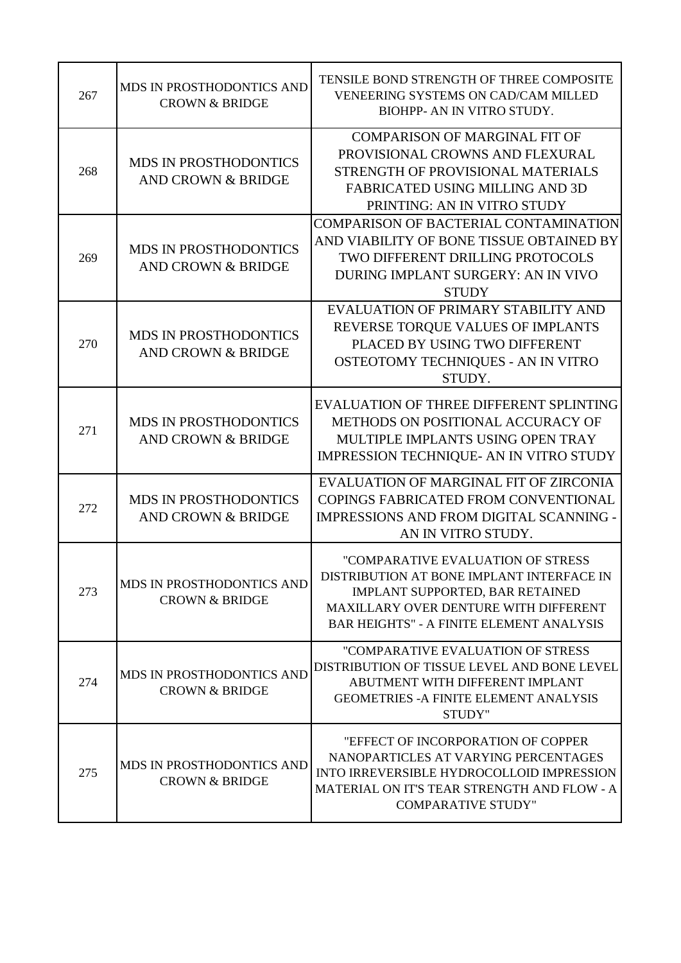| 267 | MDS IN PROSTHODONTICS AND<br><b>CROWN &amp; BRIDGE</b>        | TENSILE BOND STRENGTH OF THREE COMPOSITE<br>VENEERING SYSTEMS ON CAD/CAM MILLED<br>BIOHPP- AN IN VITRO STUDY.                                                                                                 |
|-----|---------------------------------------------------------------|---------------------------------------------------------------------------------------------------------------------------------------------------------------------------------------------------------------|
| 268 | <b>MDS IN PROSTHODONTICS</b><br><b>AND CROWN &amp; BRIDGE</b> | <b>COMPARISON OF MARGINAL FIT OF</b><br>PROVISIONAL CROWNS AND FLEXURAL<br>STRENGTH OF PROVISIONAL MATERIALS<br>FABRICATED USING MILLING AND 3D<br>PRINTING: AN IN VITRO STUDY                                |
| 269 | <b>MDS IN PROSTHODONTICS</b><br><b>AND CROWN &amp; BRIDGE</b> | COMPARISON OF BACTERIAL CONTAMINATION<br>AND VIABILITY OF BONE TISSUE OBTAINED BY<br>TWO DIFFERENT DRILLING PROTOCOLS<br>DURING IMPLANT SURGERY: AN IN VIVO<br><b>STUDY</b>                                   |
| 270 | <b>MDS IN PROSTHODONTICS</b><br><b>AND CROWN &amp; BRIDGE</b> | EVALUATION OF PRIMARY STABILITY AND<br>REVERSE TORQUE VALUES OF IMPLANTS<br>PLACED BY USING TWO DIFFERENT<br>OSTEOTOMY TECHNIQUES - AN IN VITRO<br>STUDY.                                                     |
| 271 | <b>MDS IN PROSTHODONTICS</b><br><b>AND CROWN &amp; BRIDGE</b> | EVALUATION OF THREE DIFFERENT SPLINTING<br>METHODS ON POSITIONAL ACCURACY OF<br>MULTIPLE IMPLANTS USING OPEN TRAY<br>IMPRESSION TECHNIQUE- AN IN VITRO STUDY                                                  |
| 272 | <b>MDS IN PROSTHODONTICS</b><br><b>AND CROWN &amp; BRIDGE</b> | EVALUATION OF MARGINAL FIT OF ZIRCONIA<br><b>COPINGS FABRICATED FROM CONVENTIONAL</b><br><b>IMPRESSIONS AND FROM DIGITAL SCANNING -</b><br>AN IN VITRO STUDY.                                                 |
| 273 | MDS IN PROSTHODONTICS AND<br><b>CROWN &amp; BRIDGE</b>        | "COMPARATIVE EVALUATION OF STRESS<br>DISTRIBUTION AT BONE IMPLANT INTERFACE IN<br>IMPLANT SUPPORTED, BAR RETAINED<br>MAXILLARY OVER DENTURE WITH DIFFERENT<br><b>BAR HEIGHTS" - A FINITE ELEMENT ANALYSIS</b> |
| 274 | MDS IN PROSTHODONTICS AND<br><b>CROWN &amp; BRIDGE</b>        | "COMPARATIVE EVALUATION OF STRESS<br>DISTRIBUTION OF TISSUE LEVEL AND BONE LEVEL<br>ABUTMENT WITH DIFFERENT IMPLANT<br><b>GEOMETRIES - A FINITE ELEMENT ANALYSIS</b><br>STUDY"                                |
| 275 | MDS IN PROSTHODONTICS AND<br><b>CROWN &amp; BRIDGE</b>        | "EFFECT OF INCORPORATION OF COPPER<br>NANOPARTICLES AT VARYING PERCENTAGES<br>INTO IRREVERSIBLE HYDROCOLLOID IMPRESSION<br>MATERIAL ON IT'S TEAR STRENGTH AND FLOW - A<br><b>COMPARATIVE STUDY"</b>           |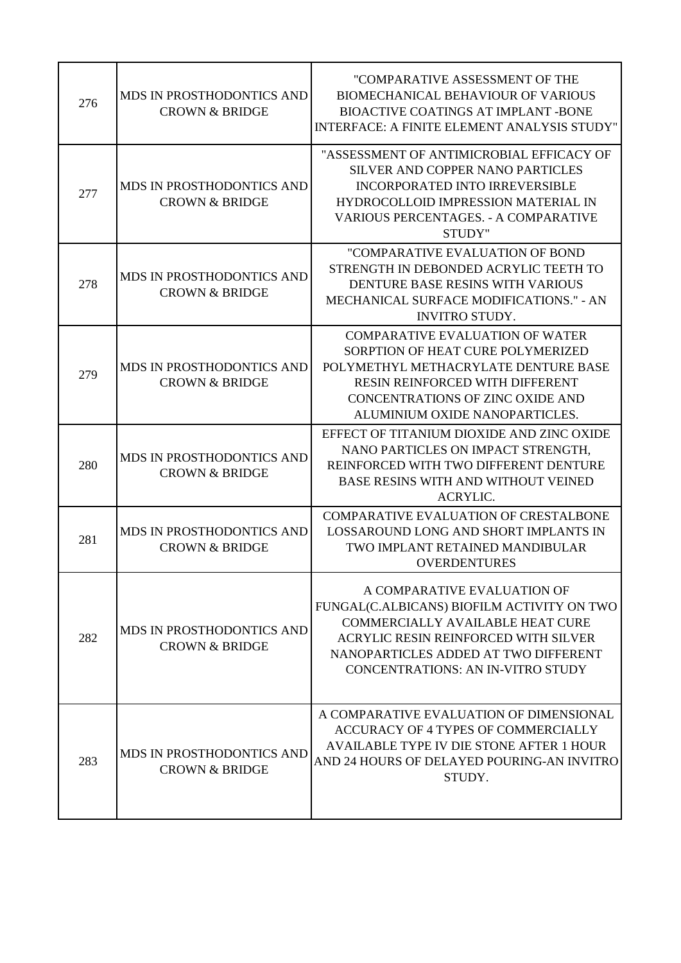| 276 | MDS IN PROSTHODONTICS AND<br><b>CROWN &amp; BRIDGE</b> | "COMPARATIVE ASSESSMENT OF THE<br><b>BIOMECHANICAL BEHAVIOUR OF VARIOUS</b><br><b>BIOACTIVE COATINGS AT IMPLANT -BONE</b><br>INTERFACE: A FINITE ELEMENT ANALYSIS STUDY"                                                                         |
|-----|--------------------------------------------------------|--------------------------------------------------------------------------------------------------------------------------------------------------------------------------------------------------------------------------------------------------|
| 277 | MDS IN PROSTHODONTICS AND<br><b>CROWN &amp; BRIDGE</b> | "ASSESSMENT OF ANTIMICROBIAL EFFICACY OF<br>SILVER AND COPPER NANO PARTICLES<br><b>INCORPORATED INTO IRREVERSIBLE</b><br>HYDROCOLLOID IMPRESSION MATERIAL IN<br><b>VARIOUS PERCENTAGES. - A COMPARATIVE</b><br>STUDY"                            |
| 278 | MDS IN PROSTHODONTICS AND<br><b>CROWN &amp; BRIDGE</b> | "COMPARATIVE EVALUATION OF BOND<br>STRENGTH IN DEBONDED ACRYLIC TEETH TO<br>DENTURE BASE RESINS WITH VARIOUS<br><b>MECHANICAL SURFACE MODIFICATIONS." - AN</b><br><b>INVITRO STUDY.</b>                                                          |
| 279 | MDS IN PROSTHODONTICS AND<br><b>CROWN &amp; BRIDGE</b> | <b>COMPARATIVE EVALUATION OF WATER</b><br>SORPTION OF HEAT CURE POLYMERIZED<br>POLYMETHYL METHACRYLATE DENTURE BASE<br>RESIN REINFORCED WITH DIFFERENT<br><b>CONCENTRATIONS OF ZINC OXIDE AND</b><br>ALUMINIUM OXIDE NANOPARTICLES.              |
| 280 | MDS IN PROSTHODONTICS AND<br><b>CROWN &amp; BRIDGE</b> | EFFECT OF TITANIUM DIOXIDE AND ZINC OXIDE<br>NANO PARTICLES ON IMPACT STRENGTH,<br>REINFORCED WITH TWO DIFFERENT DENTURE<br><b>BASE RESINS WITH AND WITHOUT VEINED</b><br><b>ACRYLIC.</b>                                                        |
| 281 | MDS IN PROSTHODONTICS AND<br><b>CROWN &amp; BRIDGE</b> | <b>COMPARATIVE EVALUATION OF CRESTALBONE</b><br>LOSSAROUND LONG AND SHORT IMPLANTS IN<br>TWO IMPLANT RETAINED MANDIBULAR<br><b>OVERDENTURES</b>                                                                                                  |
| 282 | MDS IN PROSTHODONTICS AND<br><b>CROWN &amp; BRIDGE</b> | A COMPARATIVE EVALUATION OF<br>FUNGAL(C.ALBICANS) BIOFILM ACTIVITY ON TWO<br><b>COMMERCIALLY AVAILABLE HEAT CURE</b><br>ACRYLIC RESIN REINFORCED WITH SILVER<br>NANOPARTICLES ADDED AT TWO DIFFERENT<br><b>CONCENTRATIONS: AN IN-VITRO STUDY</b> |
| 283 | MDS IN PROSTHODONTICS AND<br><b>CROWN &amp; BRIDGE</b> | A COMPARATIVE EVALUATION OF DIMENSIONAL<br>ACCURACY OF 4 TYPES OF COMMERCIALLY<br>AVAILABLE TYPE IV DIE STONE AFTER 1 HOUR<br>AND 24 HOURS OF DELAYED POURING-AN INVITRO<br>STUDY.                                                               |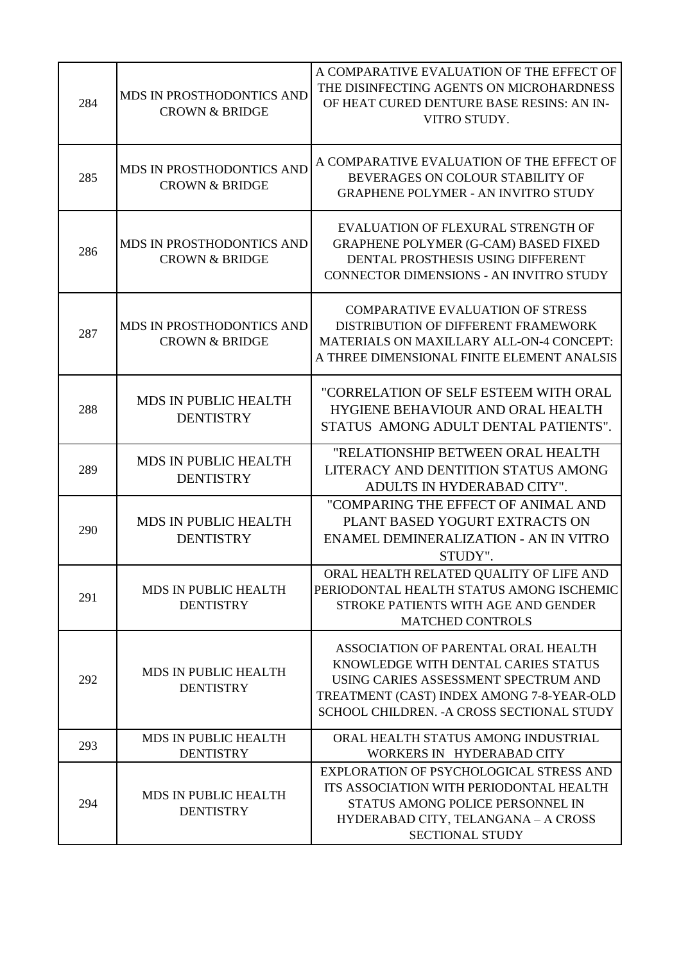| 284 | MDS IN PROSTHODONTICS AND<br><b>CROWN &amp; BRIDGE</b> | A COMPARATIVE EVALUATION OF THE EFFECT OF<br>THE DISINFECTING AGENTS ON MICROHARDNESS<br>OF HEAT CURED DENTURE BASE RESINS: AN IN-<br>VITRO STUDY.                                                            |
|-----|--------------------------------------------------------|---------------------------------------------------------------------------------------------------------------------------------------------------------------------------------------------------------------|
| 285 | MDS IN PROSTHODONTICS AND<br><b>CROWN &amp; BRIDGE</b> | A COMPARATIVE EVALUATION OF THE EFFECT OF<br>BEVERAGES ON COLOUR STABILITY OF<br><b>GRAPHENE POLYMER - AN INVITRO STUDY</b>                                                                                   |
| 286 | MDS IN PROSTHODONTICS AND<br><b>CROWN &amp; BRIDGE</b> | EVALUATION OF FLEXURAL STRENGTH OF<br><b>GRAPHENE POLYMER (G-CAM) BASED FIXED</b><br>DENTAL PROSTHESIS USING DIFFERENT<br><b>CONNECTOR DIMENSIONS - AN INVITRO STUDY</b>                                      |
| 287 | MDS IN PROSTHODONTICS AND<br><b>CROWN &amp; BRIDGE</b> | <b>COMPARATIVE EVALUATION OF STRESS</b><br>DISTRIBUTION OF DIFFERENT FRAMEWORK<br><b>MATERIALS ON MAXILLARY ALL-ON-4 CONCEPT:</b><br>A THREE DIMENSIONAL FINITE ELEMENT ANALSIS                               |
| 288 | <b>MDS IN PUBLIC HEALTH</b><br><b>DENTISTRY</b>        | "CORRELATION OF SELF ESTEEM WITH ORAL<br>HYGIENE BEHAVIOUR AND ORAL HEALTH<br>STATUS AMONG ADULT DENTAL PATIENTS".                                                                                            |
| 289 | <b>MDS IN PUBLIC HEALTH</b><br><b>DENTISTRY</b>        | "RELATIONSHIP BETWEEN ORAL HEALTH<br>LITERACY AND DENTITION STATUS AMONG<br>ADULTS IN HYDERABAD CITY".                                                                                                        |
| 290 | <b>MDS IN PUBLIC HEALTH</b><br><b>DENTISTRY</b>        | "COMPARING THE EFFECT OF ANIMAL AND<br>PLANT BASED YOGURT EXTRACTS ON<br><b>ENAMEL DEMINERALIZATION - AN IN VITRO</b><br>STUDY".                                                                              |
| 291 | <b>MDS IN PUBLIC HEALTH</b><br><b>DENTISTRY</b>        | ORAL HEALTH RELATED QUALITY OF LIFE AND<br>PERIODONTAL HEALTH STATUS AMONG ISCHEMIC<br>STROKE PATIENTS WITH AGE AND GENDER<br>MATCHED CONTROLS                                                                |
| 292 | <b>MDS IN PUBLIC HEALTH</b><br><b>DENTISTRY</b>        | ASSOCIATION OF PARENTAL ORAL HEALTH<br>KNOWLEDGE WITH DENTAL CARIES STATUS<br>USING CARIES ASSESSMENT SPECTRUM AND<br>TREATMENT (CAST) INDEX AMONG 7-8-YEAR-OLD<br>SCHOOL CHILDREN. - A CROSS SECTIONAL STUDY |
| 293 | MDS IN PUBLIC HEALTH<br><b>DENTISTRY</b>               | ORAL HEALTH STATUS AMONG INDUSTRIAL<br>WORKERS IN HYDERABAD CITY                                                                                                                                              |
| 294 | MDS IN PUBLIC HEALTH<br><b>DENTISTRY</b>               | EXPLORATION OF PSYCHOLOGICAL STRESS AND<br>ITS ASSOCIATION WITH PERIODONTAL HEALTH<br>STATUS AMONG POLICE PERSONNEL IN<br>HYDERABAD CITY, TELANGANA - A CROSS<br><b>SECTIONAL STUDY</b>                       |